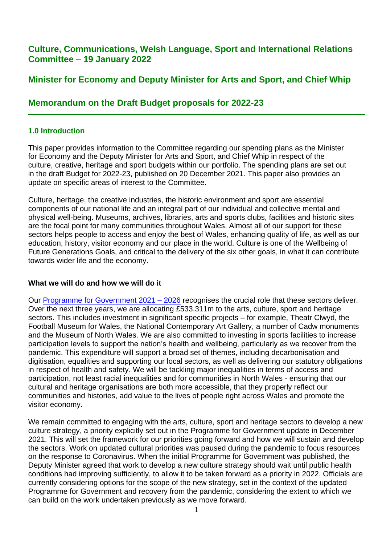## **Culture, Communications, Welsh Language, Sport and International Relations Committee – 19 January 2022**

## **Minister for Economy and Deputy Minister for Arts and Sport, and Chief Whip**

## **Memorandum on the Draft Budget proposals for 2022-23**

## **1.0 Introduction**

This paper provides information to the Committee regarding our spending plans as the Minister for Economy and the Deputy Minister for Arts and Sport, and Chief Whip in respect of the culture, creative, heritage and sport budgets within our portfolio. The spending plans are set out in the draft Budget for 2022-23, published on 20 December 2021. This paper also provides an update on specific areas of interest to the Committee.

Culture, heritage, the creative industries, the historic environment and sport are essential components of our national life and an integral part of our individual and collective mental and physical well-being. Museums, archives, libraries, arts and sports clubs, facilities and historic sites are the focal point for many communities throughout Wales. Almost all of our support for these sectors helps people to access and enjoy the best of Wales, enhancing quality of life, as well as our education, history, visitor economy and our place in the world. Culture is one of the Wellbeing of Future Generations Goals, and critical to the delivery of the six other goals, in what it can contribute towards wider life and the economy.

#### **What we will do and how we will do it**

Our [Programme for Government 2021 –](https://eur01.safelinks.protection.outlook.com/?url=https%3A%2F%2Fgov.wales%2Fprogramme-for-government-2021-to-2026&data=04%7C01%7CGareth.Woodhead%40gov.wales%7C9869b277d4714574d8f208d9a9c1eab3%7Ca2cc36c592804ae78887d06dab89216b%7C0%7C0%7C637727472586290189%7CUnknown%7CTWFpbGZsb3d8eyJWIjoiMC4wLjAwMDAiLCJQIjoiV2luMzIiLCJBTiI6Ik1haWwiLCJXVCI6Mn0%3D%7C3000&sdata=40%2BfV9%2B5ECeZNW8m78jb7uZkk0O5sQmWCkIUe8ioHV0%3D&reserved=0) 2026 recognises the crucial role that these sectors deliver. Over the next three years, we are allocating £533.311m to the arts, culture, sport and heritage sectors. This includes investment in significant specific projects – for example, Theatr Clwyd, the Football Museum for Wales, the National Contemporary Art Gallery, a number of Cadw monuments and the Museum of North Wales. We are also committed to investing in sports facilities to increase participation levels to support the nation's health and wellbeing, particularly as we recover from the pandemic. This expenditure will support a broad set of themes, including decarbonisation and digitisation, equalities and supporting our local sectors, as well as delivering our statutory obligations in respect of health and safety. We will be tackling major inequalities in terms of access and participation, not least racial inequalities and for communities in North Wales - ensuring that our cultural and heritage organisations are both more accessible, that they properly reflect our communities and histories, add value to the lives of people right across Wales and promote the visitor economy.

We remain committed to engaging with the arts, culture, sport and heritage sectors to develop a new culture strategy, a priority explicitly set out in the Programme for Government update in December 2021. This will set the framework for our priorities going forward and how we will sustain and develop the sectors. Work on updated cultural priorities was paused during the pandemic to focus resources on the response to Coronavirus. When the initial Programme for Government was published, the Deputy Minister agreed that work to develop a new culture strategy should wait until public health conditions had improving sufficiently, to allow it to be taken forward as a priority in 2022. Officials are currently considering options for the scope of the new strategy, set in the context of the updated Programme for Government and recovery from the pandemic, considering the extent to which we can build on the work undertaken previously as we move forward.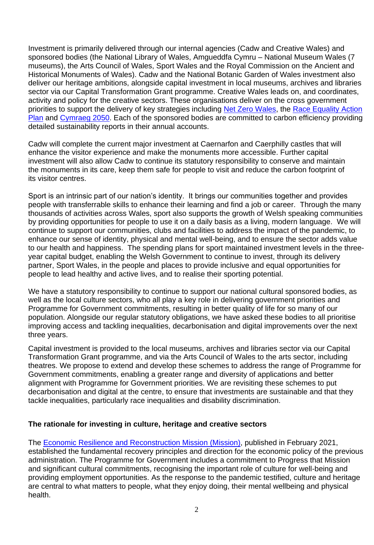Investment is primarily delivered through our internal agencies (Cadw and Creative Wales) and sponsored bodies (the National Library of Wales, Amgueddfa Cymru – National Museum Wales (7 museums), the Arts Council of Wales, Sport Wales and the Royal Commission on the Ancient and Historical Monuments of Wales). Cadw and the National Botanic Garden of Wales investment also deliver our heritage ambitions, alongside capital investment in local museums, archives and libraries sector via our Capital Transformation Grant programme. Creative Wales leads on, and coordinates, activity and policy for the creative sectors. These organisations deliver on the cross government priorities to support the delivery of key strategies including [Net Zero Wales,](https://gov.wales/net-zero-wales) the Race Equality Action [Plan](https://gov.wales/race-equality-action-plan-anti-racist-wales) and [Cymraeg 2050.](https://gov.wales/cymraeg-2050-welsh-language-strategy) Each of the sponsored bodies are committed to carbon efficiency providing detailed sustainability reports in their annual accounts.

Cadw will complete the current major investment at Caernarfon and Caerphilly castles that will enhance the visitor experience and make the monuments more accessible. Further capital investment will also allow Cadw to continue its statutory responsibility to conserve and maintain the monuments in its care, keep them safe for people to visit and reduce the carbon footprint of its visitor centres.

Sport is an intrinsic part of our nation's identity. It brings our communities together and provides people with transferrable skills to enhance their learning and find a job or career. Through the many thousands of activities across Wales, sport also supports the growth of Welsh speaking communities by providing opportunities for people to use it on a daily basis as a living, modern language. We will continue to support our communities, clubs and facilities to address the impact of the pandemic, to enhance our sense of identity, physical and mental well-being, and to ensure the sector adds value to our health and happiness. The spending plans for sport maintained investment levels in the threeyear capital budget, enabling the Welsh Government to continue to invest, through its delivery partner, Sport Wales, in the people and places to provide inclusive and equal opportunities for people to lead healthy and active lives, and to realise their sporting potential.

We have a statutory responsibility to continue to support our national cultural sponsored bodies, as well as the local culture sectors, who all play a key role in delivering government priorities and Programme for Government commitments, resulting in better quality of life for so many of our population. Alongside our regular statutory obligations, we have asked these bodies to all prioritise improving access and tackling inequalities, decarbonisation and digital improvements over the next three years.

Capital investment is provided to the local museums, archives and libraries sector via our Capital Transformation Grant programme, and via the Arts Council of Wales to the arts sector, including theatres. We propose to extend and develop these schemes to address the range of Programme for Government commitments, enabling a greater range and diversity of applications and better alignment with Programme for Government priorities. We are revisiting these schemes to put decarbonisation and digital at the centre, to ensure that investments are sustainable and that they tackle inequalities, particularly race inequalities and disability discrimination.

#### **The rationale for investing in culture, heritage and creative sectors**

The [Economic Resilience and Reconstruction Mission](https://eur01.safelinks.protection.outlook.com/?url=https%3A%2F%2Fgov.wales%2Feconomic-resilience-and-reconstruction-mission&data=04%7C01%7CGareth.Woodhead%40gov.wales%7C9869b277d4714574d8f208d9a9c1eab3%7Ca2cc36c592804ae78887d06dab89216b%7C0%7C0%7C637727472586280232%7CUnknown%7CTWFpbGZsb3d8eyJWIjoiMC4wLjAwMDAiLCJQIjoiV2luMzIiLCJBTiI6Ik1haWwiLCJXVCI6Mn0%3D%7C3000&sdata=a2Y6qOWmjFLawYpj0TWcEcC29jGVns8ImUgQQS6IM%2B0%3D&reserved=0) (Mission), published in February 2021, established the fundamental recovery principles and direction for the economic policy of the previous administration. The Programme for Government includes a commitment to Progress that Mission and significant cultural commitments, recognising the important role of culture for well-being and providing employment opportunities. As the response to the pandemic testified, culture and heritage are central to what matters to people, what they enjoy doing, their mental wellbeing and physical health.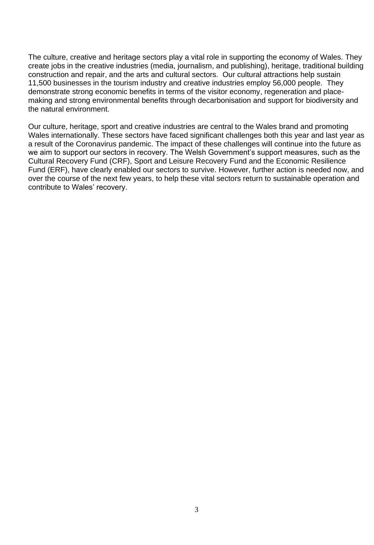The culture, creative and heritage sectors play a vital role in supporting the economy of Wales. They create jobs in the creative industries (media, journalism, and publishing), heritage, traditional building construction and repair, and the arts and cultural sectors. Our cultural attractions help sustain 11,500 businesses in the tourism industry and creative industries employ 56,000 people. They demonstrate strong economic benefits in terms of the visitor economy, regeneration and placemaking and strong environmental benefits through decarbonisation and support for biodiversity and the natural environment.

Our culture, heritage, sport and creative industries are central to the Wales brand and promoting Wales internationally. These sectors have faced significant challenges both this year and last year as a result of the Coronavirus pandemic. The impact of these challenges will continue into the future as we aim to support our sectors in recovery. The Welsh Government's support measures, such as the Cultural Recovery Fund (CRF), Sport and Leisure Recovery Fund and the Economic Resilience Fund (ERF), have clearly enabled our sectors to survive. However, further action is needed now, and over the course of the next few years, to help these vital sectors return to sustainable operation and contribute to Wales' recovery.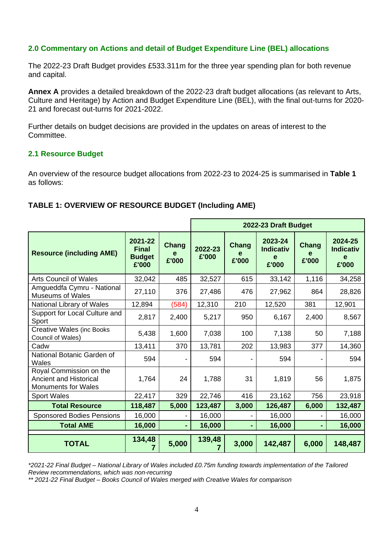## **2.0 Commentary on Actions and detail of Budget Expenditure Line (BEL) allocations**

The 2022-23 Draft Budget provides £533.311m for the three year spending plan for both revenue and capital.

**[Annex A](https://documents.hf.wales.gov.uk/id:A37476773/document/versions/published)** provides a detailed breakdown of the 2022-23 draft budget allocations (as relevant to Arts, Culture and Heritage) by Action and Budget Expenditure Line (BEL), with the final out-turns for 2020- 21 and forecast out-turns for 2021-2022.

Further details on budget decisions are provided in the updates on areas of interest to the Committee.

## **2.1 Resource Budget**

An overview of the resource budget allocations from 2022-23 to 2024-25 is summarised in **Table 1** as follows:

## **TABLE 1: OVERVIEW OF RESOURCE BUDGET (Including AME)**

|                                                                                        |                                                   |                | 2022-23 Draft Budget |                     |                                           |                       |                                           |  |
|----------------------------------------------------------------------------------------|---------------------------------------------------|----------------|----------------------|---------------------|-------------------------------------------|-----------------------|-------------------------------------------|--|
| <b>Resource (including AME)</b>                                                        | 2021-22<br><b>Final</b><br><b>Budget</b><br>£'000 | Chang<br>£'000 | 2022-23<br>£'000     | Chang<br>е<br>£'000 | 2023-24<br><b>Indicativ</b><br>e<br>£'000 | <b>Chang</b><br>£'000 | 2024-25<br><b>Indicativ</b><br>e<br>£'000 |  |
| <b>Arts Council of Wales</b>                                                           | 32,042                                            | 485            | 32,527               | 615                 | 33,142                                    | 1,116                 | 34,258                                    |  |
| Amgueddfa Cymru - National<br><b>Museums of Wales</b>                                  | 27,110                                            | 376            | 27,486               | 476                 | 27,962                                    | 864                   | 28,826                                    |  |
| National Library of Wales                                                              | 12,894                                            | (584)          | 12,310               | 210                 | 12,520                                    | 381                   | 12,901                                    |  |
| Support for Local Culture and<br>Sport                                                 | 2,817                                             | 2,400          | 5,217                | 950                 | 6,167                                     | 2,400                 | 8,567                                     |  |
| <b>Creative Wales (inc Books</b><br>Council of Wales)                                  | 5,438                                             | 1,600          | 7,038                | 100                 | 7,138                                     | 50                    | 7,188                                     |  |
| Cadw                                                                                   | 13,411                                            | 370            | 13,781               | 202                 | 13,983                                    | 377                   | 14,360                                    |  |
| National Botanic Garden of<br>Wales                                                    | 594                                               |                | 594                  |                     | 594                                       |                       | 594                                       |  |
| Royal Commission on the<br><b>Ancient and Historical</b><br><b>Monuments for Wales</b> | 1,764                                             | 24             | 1,788                | 31                  | 1,819                                     | 56                    | 1,875                                     |  |
| <b>Sport Wales</b>                                                                     | 22,417                                            | 329            | 22,746               | 416                 | 23,162                                    | 756                   | 23,918                                    |  |
| <b>Total Resource</b>                                                                  | 118,487                                           | 5,000          | 123,487              | 3,000               | 126,487                                   | 6,000                 | 132,487                                   |  |
| <b>Sponsored Bodies Pensions</b>                                                       | 16,000                                            |                | 16,000               |                     | 16,000                                    |                       | 16,000                                    |  |
| <b>Total AME</b>                                                                       | 16,000                                            |                | 16,000               |                     | 16,000                                    |                       | 16,000                                    |  |
| <b>TOTAL</b>                                                                           | 134,48                                            | 5,000          | 139,48               | 3,000               | 142,487                                   | 6,000                 | 148,487                                   |  |

*\*2021-22 Final Budget – National Library of Wales included £0.75m funding towards implementation of the Tailored Review recommendations, which was non-recurring*

*\*\* 2021-22 Final Budget – Books Council of Wales merged with Creative Wales for comparison*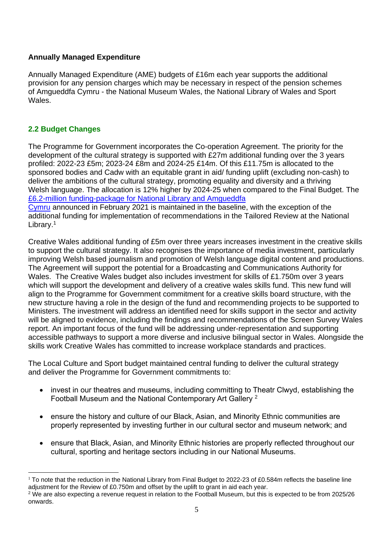## **Annually Managed Expenditure**

Annually Managed Expenditure (AME) budgets of £16m each year supports the additional provision for any pension charges which may be necessary in respect of the pension schemes of Amgueddfa Cymru - the National Museum Wales, the National Library of Wales and Sport Wales.

## **2.2 Budget Changes**

The Programme for Government incorporates the Co-operation Agreement. The priority for the development of the cultural strategy is supported with £27m additional funding over the 3 years profiled: 2022-23 £5m; 2023-24 £8m and 2024-25 £14m. Of this £11.75m is allocated to the sponsored bodies and Cadw with an equitable grant in aid/ funding uplift (excluding non-cash) to deliver the ambitions of the cultural strategy, promoting equality and diversity and a thriving Welsh language. The allocation is 12% higher by 2024-25 when compared to the Final Budget. The £6.2-million funding-packa[ge for National Library and Amgueddfa](https://gov.wales/ps62-million-funding-package-announced-national-library-wales-and-amgueddfa-cymru)

[Cymru](https://gov.wales/ps62-million-funding-package-announced-national-library-wales-and-amgueddfa-cymru) announced in February 2021 is maintained in the baseline, with the exception of the additional funding for implementation of recommendations in the Tailored Review at the National Library.<sup>1</sup>

Creative Wales additional funding of £5m over three years increases investment in the creative skills to support the cultural strategy. It also recognises the importance of media investment, particularly improving Welsh based journalism and promotion of Welsh language digital content and productions. The Agreement will support the potential for a Broadcasting and Communications Authority for Wales. The Creative Wales budget also includes investment for skills of £1.750m over 3 years which will support the development and delivery of a creative wales skills fund. This new fund will align to the Programme for Government commitment for a creative skills board structure, with the new structure having a role in the design of the fund and recommending projects to be supported to Ministers. The investment will address an identified need for skills support in the sector and activity will be aligned to evidence, including the findings and recommendations of the Screen Survey Wales report. An important focus of the fund will be addressing under-representation and supporting accessible pathways to support a more diverse and inclusive bilingual sector in Wales. Alongside the skills work Creative Wales has committed to increase workplace standards and practices.

The Local Culture and Sport budget maintained central funding to deliver the cultural strategy and deliver the Programme for Government commitments to:

- invest in our theatres and museums, including committing to Theatr Clwyd, establishing the Football Museum and the National Contemporary Art Gallery <sup>2</sup>
- ensure the history and culture of our Black, Asian, and Minority Ethnic communities are properly represented by investing further in our cultural sector and museum network; and
- ensure that Black, Asian, and Minority Ethnic histories are properly reflected throughout our cultural, sporting and heritage sectors including in our National Museums.

 $1$  To note that the reduction in the National Library from Final Budget to 2022-23 of £0.584m reflects the baseline line adjustment for the Review of £0.750m and offset by the uplift to grant in aid each year.

<sup>&</sup>lt;sup>2</sup> We are also expecting a revenue request in relation to the Football Museum, but this is expected to be from 2025/26 onwards.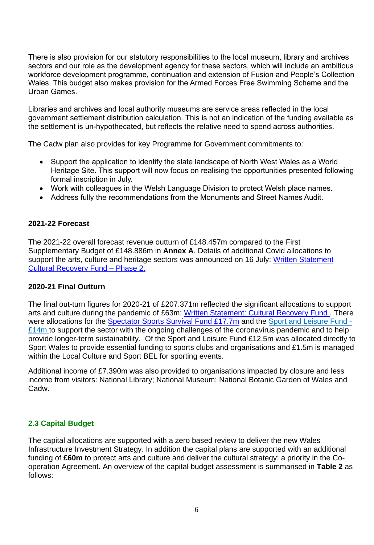There is also provision for our statutory responsibilities to the local museum, library and archives sectors and our role as the development agency for these sectors, which will include an ambitious workforce development programme, continuation and extension of Fusion and People's Collection Wales. This budget also makes provision for the Armed Forces Free Swimming Scheme and the Urban Games.

Libraries and archives and local authority museums are service areas reflected in the local government settlement distribution calculation. This is not an indication of the funding available as the settlement is un-hypothecated, but reflects the relative need to spend across authorities.

The Cadw plan also provides for key Programme for Government commitments to:

- Support the application to identify the slate landscape of North West Wales as a World Heritage Site. This support will now focus on realising the opportunities presented following formal inscription in July.
- Work with colleagues in the Welsh Language Division to protect Welsh place names.
- Address fully the recommendations from the Monuments and Street Names Audit.

#### **2021-22 Forecast**

The 2021-22 overall forecast revenue outturn of £148.457m compared to the First Supplementary Budget of £148.886m in **Annex A**. Details of additional Covid allocations to support the arts, culture and heritage sectors was announced on 16 July: Written Statement [Cultural Recovery Fund –](https://gov.wales/written-statement-cultural-recovery-fund-phase-2) Phase 2.

#### **2020-21 Final Outturn**

The final out-turn figures for 2020-21 of £207.371m reflected the significant allocations to support arts and culture during the pandemic of £63m: [Written Statement: Cultural Recovery Fund .](https://gov.wales/written-statement-cultural-recovery-fund-additional-funding) There were allocations for the [Spectator Sports Survival Fund £17.7m](https://gov.wales/written-statement-spectator-sports-survival-fund) and the [Sport and Leisure Fund -](https://gov.wales/14m-funding-package-for-wales-sport-and-leisure-sector)  $£14m$  to support the sector with the ongoing challenges of the coronavirus pandemic and to help provide longer-term sustainability. Of the Sport and Leisure Fund £12.5m was allocated directly to Sport Wales to provide essential funding to sports clubs and organisations and £1.5m is managed within the Local Culture and Sport BEL for sporting events.

Additional income of £7.390m was also provided to organisations impacted by closure and less income from visitors: National Library; National Museum; National Botanic Garden of Wales and Cadw.

#### **2.3 Capital Budget**

The capital allocations are supported with a zero based review to deliver the new Wales Infrastructure Investment Strategy. In addition the capital plans are supported with an additional funding of **£60m** to protect arts and culture and deliver the cultural strategy: a priority in the Cooperation Agreement. An overview of the capital budget assessment is summarised in **Table 2** as follows: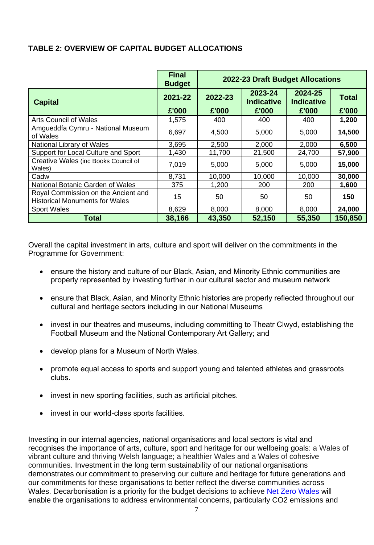## **TABLE 2: OVERVIEW OF CAPITAL BUDGET ALLOCATIONS**

|                                                                              | <b>Final</b><br><b>Budget</b> |         | 2022-23 Draft Budget Allocations |                              |              |  |  |  |  |  |
|------------------------------------------------------------------------------|-------------------------------|---------|----------------------------------|------------------------------|--------------|--|--|--|--|--|
| <b>Capital</b>                                                               | 2021-22                       | 2022-23 | 2023-24<br><b>Indicative</b>     | 2024-25<br><b>Indicative</b> | <b>Total</b> |  |  |  |  |  |
|                                                                              | £'000                         | £'000   | £'000                            | £'000                        | £'000        |  |  |  |  |  |
| <b>Arts Council of Wales</b>                                                 | 1,575                         | 400     | 400                              | 400                          | 1,200        |  |  |  |  |  |
| Amgueddfa Cymru - National Museum<br>of Wales                                | 6,697                         | 4,500   | 5,000                            | 5,000                        | 14,500       |  |  |  |  |  |
| National Library of Wales                                                    | 3,695                         | 2,500   | 2,000                            | 2,000                        | 6,500        |  |  |  |  |  |
| Support for Local Culture and Sport                                          | 1,430                         | 11,700  | 21,500                           | 24,700                       | 57,900       |  |  |  |  |  |
| Creative Wales (inc Books Council of<br>Wales)                               | 7,019                         | 5,000   | 5,000                            | 5,000                        | 15,000       |  |  |  |  |  |
| Cadw                                                                         | 8,731                         | 10,000  | 10,000                           | 10,000                       | 30,000       |  |  |  |  |  |
| National Botanic Garden of Wales                                             | 375                           | 1,200   | 200                              | 200                          | 1,600        |  |  |  |  |  |
| Royal Commission on the Ancient and<br><b>Historical Monuments for Wales</b> | 15                            | 50      | 50                               | 50                           | 150          |  |  |  |  |  |
| <b>Sport Wales</b>                                                           | 8,629                         | 8,000   | 8,000                            | 8,000                        | 24,000       |  |  |  |  |  |
| <b>Total</b>                                                                 | 38,166                        | 43,350  | 52,150                           | 55,350                       | 150,850      |  |  |  |  |  |

Overall the capital investment in arts, culture and sport will deliver on the commitments in the Programme for Government:

- ensure the history and culture of our Black, Asian, and Minority Ethnic communities are properly represented by investing further in our cultural sector and museum network
- ensure that Black, Asian, and Minority Ethnic histories are properly reflected throughout our cultural and heritage sectors including in our National Museums
- invest in our theatres and museums, including committing to Theatr Clwyd, establishing the Football Museum and the National Contemporary Art Gallery; and
- develop plans for a Museum of North Wales.
- promote equal access to sports and support young and talented athletes and grassroots clubs.
- invest in new sporting facilities, such as artificial pitches.
- invest in our world-class sports facilities.

Investing in our internal agencies, national organisations and local sectors is vital and recognises the importance of arts, culture, sport and heritage for our wellbeing goals: a Wales of vibrant culture and thriving Welsh language; a healthier Wales and a Wales of cohesive communities. Investment in the long term sustainability of our national organisations demonstrates our commitment to preserving our culture and heritage for future generations and our commitments for these organisations to better reflect the diverse communities across Wales. Decarbonisation is a priority for the budget decisions to achieve [Net Zero Wales](https://gov.wales/net-zero-wales) will enable the organisations to address environmental concerns, particularly CO2 emissions and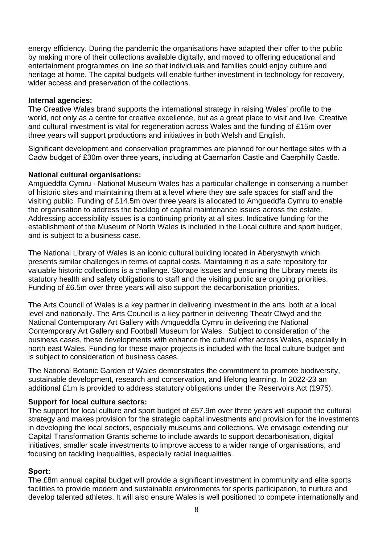energy efficiency. During the pandemic the organisations have adapted their offer to the public by making more of their collections available digitally, and moved to offering educational and entertainment programmes on line so that individuals and families could enjoy culture and heritage at home. The capital budgets will enable further investment in technology for recovery, wider access and preservation of the collections.

#### **Internal agencies:**

The Creative Wales brand supports the international strategy in raising Wales' profile to the world, not only as a centre for creative excellence, but as a great place to visit and live. Creative and cultural investment is vital for regeneration across Wales and the funding of £15m over three years will support productions and initiatives in both Welsh and English.

Significant development and conservation programmes are planned for our heritage sites with a Cadw budget of £30m over three years, including at Caernarfon Castle and Caerphilly Castle.

#### **National cultural organisations:**

Amgueddfa Cymru - National Museum Wales has a particular challenge in conserving a number of historic sites and maintaining them at a level where they are safe spaces for staff and the visiting public. Funding of £14.5m over three years is allocated to Amgueddfa Cymru to enable the organisation to address the backlog of capital maintenance issues across the estate. Addressing accessibility issues is a continuing priority at all sites. Indicative funding for the establishment of the Museum of North Wales is included in the Local culture and sport budget, and is subject to a business case.

The National Library of Wales is an iconic cultural building located in Aberystwyth which presents similar challenges in terms of capital costs. Maintaining it as a safe repository for valuable historic collections is a challenge. Storage issues and ensuring the Library meets its statutory health and safety obligations to staff and the visiting public are ongoing priorities. Funding of £6.5m over three years will also support the decarbonisation priorities.

The Arts Council of Wales is a key partner in delivering investment in the arts, both at a local level and nationally. The Arts Council is a key partner in delivering Theatr Clwyd and the National Contemporary Art Gallery with Amgueddfa Cymru in delivering the National Contemporary Art Gallery and Football Museum for Wales. Subject to consideration of the business cases, these developments with enhance the cultural offer across Wales, especially in north east Wales. Funding for these major projects is included with the local culture budget and is subject to consideration of business cases.

The National Botanic Garden of Wales demonstrates the commitment to promote biodiversity, sustainable development, research and conservation, and lifelong learning. In 2022-23 an additional £1m is provided to address statutory obligations under the Reservoirs Act (1975).

#### **Support for local culture sectors:**

The support for local culture and sport budget of £57.9m over three years will support the cultural strategy and makes provision for the strategic capital investments and provision for the investments in developing the local sectors, especially museums and collections. We envisage extending our Capital Transformation Grants scheme to include awards to support decarbonisation, digital initiatives, smaller scale investments to improve access to a wider range of organisations, and focusing on tackling inequalities, especially racial inequalities.

#### **Sport:**

The £8m annual capital budget will provide a significant investment in community and elite sports facilities to provide modern and sustainable environments for sports participation, to nurture and develop talented athletes. It will also ensure Wales is well positioned to compete internationally and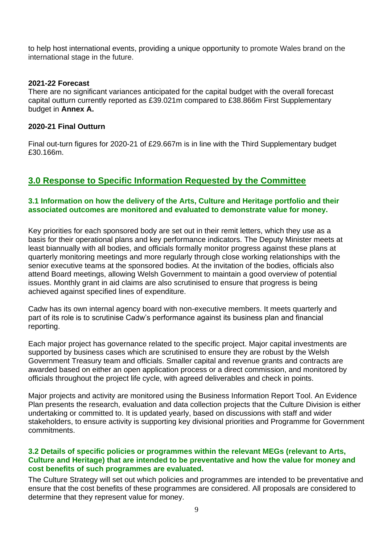to help host international events, providing a unique opportunity to promote Wales brand on the international stage in the future.

#### **2021-22 Forecast**

There are no significant variances anticipated for the capital budget with the overall forecast capital outturn currently reported as £39.021m compared to £38.866m First Supplementary budget in **Annex A.**

#### **2020-21 Final Outturn**

Final out-turn figures for 2020-21 of £29.667m is in line with the Third Supplementary budget £30.166m.

## **3.0 Response to Specific Information Requested by the Committee**

### **3.1 Information on how the delivery of the Arts, Culture and Heritage portfolio and their associated outcomes are monitored and evaluated to demonstrate value for money.**

Key priorities for each sponsored body are set out in their remit letters, which they use as a basis for their operational plans and key performance indicators. The Deputy Minister meets at least biannually with all bodies, and officials formally monitor progress against these plans at quarterly monitoring meetings and more regularly through close working relationships with the senior executive teams at the sponsored bodies. At the invitation of the bodies, officials also attend Board meetings, allowing Welsh Government to maintain a good overview of potential issues. Monthly grant in aid claims are also scrutinised to ensure that progress is being achieved against specified lines of expenditure.

Cadw has its own internal agency board with non-executive members. It meets quarterly and part of its role is to scrutinise Cadw's performance against its business plan and financial reporting.

Each major project has governance related to the specific project. Major capital investments are supported by business cases which are scrutinised to ensure they are robust by the Welsh Government Treasury team and officials. Smaller capital and revenue grants and contracts are awarded based on either an open application process or a direct commission, and monitored by officials throughout the project life cycle, with agreed deliverables and check in points.

Major projects and activity are monitored using the Business Information Report Tool. An Evidence Plan presents the research, evaluation and data collection projects that the Culture Division is either undertaking or committed to. It is updated yearly, based on discussions with staff and wider stakeholders, to ensure activity is supporting key divisional priorities and Programme for Government commitments.

#### **3.2 Details of specific policies or programmes within the relevant MEGs (relevant to Arts, Culture and Heritage) that are intended to be preventative and how the value for money and cost benefits of such programmes are evaluated.**

The Culture Strategy will set out which policies and programmes are intended to be preventative and ensure that the cost benefits of these programmes are considered. All proposals are considered to determine that they represent value for money.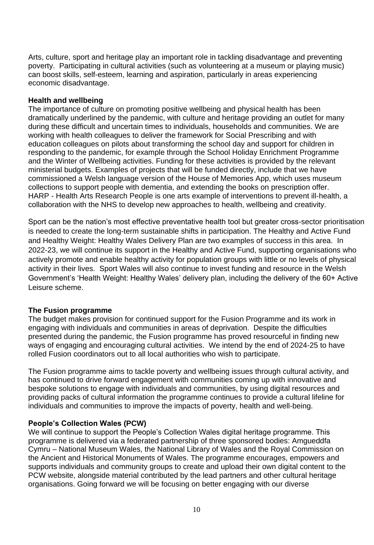Arts, culture, sport and heritage play an important role in tackling disadvantage and preventing poverty. Participating in cultural activities (such as volunteering at a museum or playing music) can boost skills, self-esteem, learning and aspiration, particularly in areas experiencing economic disadvantage.

#### **Health and wellbeing**

The importance of culture on promoting positive wellbeing and physical health has been dramatically underlined by the pandemic, with culture and heritage providing an outlet for many during these difficult and uncertain times to individuals, households and communities. We are working with health colleagues to deliver the framework for Social Prescribing and with education colleagues on pilots about transforming the school day and support for children in responding to the pandemic, for example through the School Holiday Enrichment Programme and the Winter of Wellbeing activities. Funding for these activities is provided by the relevant ministerial budgets. Examples of projects that will be funded directly, include that we have commissioned a Welsh language version of the House of Memories App, which uses museum collections to support people with dementia, and extending the books on prescription offer. HARP - Health Arts Research People is one arts example of interventions to prevent ill-health, a collaboration with the NHS to develop new approaches to health, wellbeing and creativity.

Sport can be the nation's most effective preventative health tool but greater cross-sector prioritisation is needed to create the long-term sustainable shifts in participation. The Healthy and Active Fund and Healthy Weight: Healthy Wales Delivery Plan are two examples of success in this area. In 2022-23, we will continue its support in the Healthy and Active Fund, supporting organisations who actively promote and enable healthy activity for population groups with little or no levels of physical activity in their lives. Sport Wales will also continue to invest funding and resource in the Welsh Government's 'Health Weight: Healthy Wales' delivery plan, including the delivery of the 60+ Active Leisure scheme.

#### **The Fusion programme**

The budget makes provision for continued support for the Fusion Programme and its work in engaging with individuals and communities in areas of deprivation. Despite the difficulties presented during the pandemic, the Fusion programme has proved resourceful in finding new ways of engaging and encouraging cultural activities. We intend by the end of 2024-25 to have rolled Fusion coordinators out to all local authorities who wish to participate.

The Fusion programme aims to tackle poverty and wellbeing issues through cultural activity, and has continued to drive forward engagement with communities coming up with innovative and bespoke solutions to engage with individuals and communities, by using digital resources and providing packs of cultural information the programme continues to provide a cultural lifeline for individuals and communities to improve the impacts of poverty, health and well-being.

#### **People's Collection Wales (PCW)**

We will continue to support the People's Collection Wales digital heritage programme. This programme is delivered via a federated partnership of three sponsored bodies: Amgueddfa Cymru – National Museum Wales, the National Library of Wales and the Royal Commission on the Ancient and Historical Monuments of Wales. The programme encourages, empowers and supports individuals and community groups to create and upload their own digital content to the PCW website, alongside material contributed by the lead partners and other cultural heritage organisations. Going forward we will be focusing on better engaging with our diverse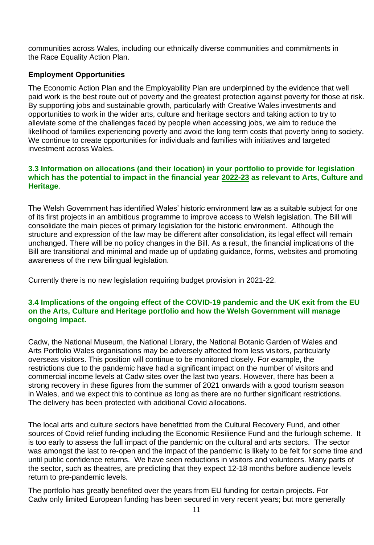communities across Wales, including our ethnically diverse communities and commitments in the Race Equality Action Plan.

## **Employment Opportunities**

The Economic Action Plan and the Employability Plan are underpinned by the evidence that well paid work is the best route out of poverty and the greatest protection against poverty for those at risk. By supporting jobs and sustainable growth, particularly with Creative Wales investments and opportunities to work in the wider arts, culture and heritage sectors and taking action to try to alleviate some of the challenges faced by people when accessing jobs, we aim to reduce the likelihood of families experiencing poverty and avoid the long term costs that poverty bring to society. We continue to create opportunities for individuals and families with initiatives and targeted investment across Wales.

#### **3.3 Information on allocations (and their location) in your portfolio to provide for legislation which has the potential to impact in the financial year 2022-23 as relevant to Arts, Culture and Heritage**.

The Welsh Government has identified Wales' historic environment law as a suitable subject for one of its first projects in an ambitious programme to improve access to Welsh legislation. The Bill will consolidate the main pieces of primary legislation for the historic environment. Although the structure and expression of the law may be different after consolidation, its legal effect will remain unchanged. There will be no policy changes in the Bill. As a result, the financial implications of the Bill are transitional and minimal and made up of updating guidance, forms, websites and promoting awareness of the new bilingual legislation.

Currently there is no new legislation requiring budget provision in 2021-22.

#### **3.4 Implications of the ongoing effect of the COVID-19 pandemic and the UK exit from the EU on the Arts, Culture and Heritage portfolio and how the Welsh Government will manage ongoing impact.**

Cadw, the National Museum, the National Library, the National Botanic Garden of Wales and Arts Portfolio Wales organisations may be adversely affected from less visitors, particularly overseas visitors. This position will continue to be monitored closely. For example, the restrictions due to the pandemic have had a significant impact on the number of visitors and commercial income levels at Cadw sites over the last two years. However, there has been a strong recovery in these figures from the summer of 2021 onwards with a good tourism season in Wales, and we expect this to continue as long as there are no further significant restrictions. The delivery has been protected with additional Covid allocations.

The local arts and culture sectors have benefitted from the Cultural Recovery Fund, and other sources of Covid relief funding including the Economic Resilience Fund and the furlough scheme. It is too early to assess the full impact of the pandemic on the cultural and arts sectors. The sector was amongst the last to re-open and the impact of the pandemic is likely to be felt for some time and until public confidence returns. We have seen reductions in visitors and volunteers. Many parts of the sector, such as theatres, are predicting that they expect 12-18 months before audience levels return to pre-pandemic levels.

The portfolio has greatly benefited over the years from EU funding for certain projects. For Cadw only limited European funding has been secured in very recent years; but more generally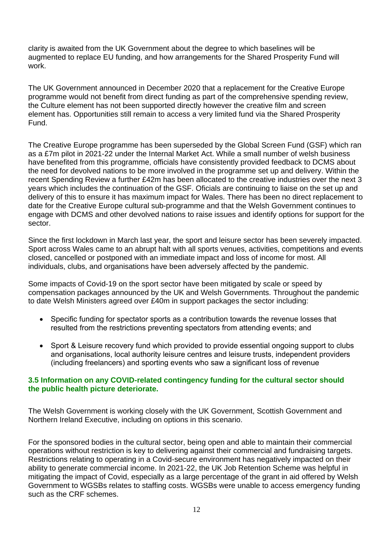clarity is awaited from the UK Government about the degree to which baselines will be augmented to replace EU funding, and how arrangements for the Shared Prosperity Fund will work.

The UK Government announced in December 2020 that a replacement for the Creative Europe programme would not benefit from direct funding as part of the comprehensive spending review, the Culture element has not been supported directly however the creative film and screen element has. Opportunities still remain to access a very limited fund via the Shared Prosperity Fund.

The Creative Europe programme has been superseded by the Global Screen Fund (GSF) which ran as a £7m pilot in 2021-22 under the Internal Market Act. While a small number of welsh business have benefited from this programme, officials have consistently provided feedback to DCMS about the need for devolved nations to be more involved in the programme set up and delivery. Within the recent Spending Review a further £42m has been allocated to the creative industries over the next 3 years which includes the continuation of the GSF. Oficials are continuing to liaise on the set up and delivery of this to ensure it has maximum impact for Wales. There has been no direct replacement to date for the Creative Europe cultural sub-programme and that the Welsh Government continues to engage with DCMS and other devolved nations to raise issues and identify options for support for the sector.

Since the first lockdown in March last year, the sport and leisure sector has been severely impacted. Sport across Wales came to an abrupt halt with all sports venues, activities, competitions and events closed, cancelled or postponed with an immediate impact and loss of income for most. All individuals, clubs, and organisations have been adversely affected by the pandemic.

Some impacts of Covid-19 on the sport sector have been mitigated by scale or speed by compensation packages announced by the UK and Welsh Governments. Throughout the pandemic to date Welsh Ministers agreed over £40m in support packages the sector including:

- Specific funding for spectator sports as a contribution towards the revenue losses that resulted from the restrictions preventing spectators from attending events; and
- Sport & Leisure recovery fund which provided to provide essential ongoing support to clubs and organisations, local authority leisure centres and leisure trusts, independent providers (including freelancers) and sporting events who saw a significant loss of revenue

## **3.5 Information on any COVID-related contingency funding for the cultural sector should the public health picture deteriorate.**

The Welsh Government is working closely with the UK Government, Scottish Government and Northern Ireland Executive, including on options in this scenario.

For the sponsored bodies in the cultural sector, being open and able to maintain their commercial operations without restriction is key to delivering against their commercial and fundraising targets. Restrictions relating to operating in a Covid-secure environment has negatively impacted on their ability to generate commercial income. In 2021-22, the UK Job Retention Scheme was helpful in mitigating the impact of Covid, especially as a large percentage of the grant in aid offered by Welsh Government to WGSBs relates to staffing costs. WGSBs were unable to access emergency funding such as the CRF schemes.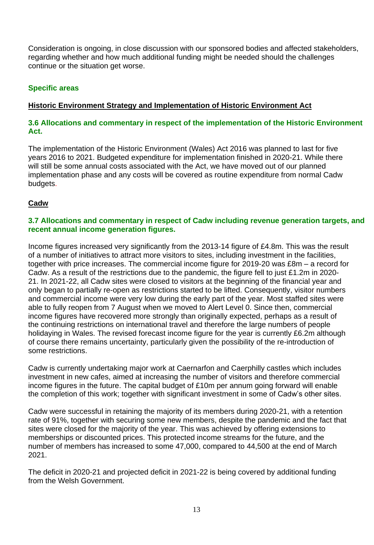Consideration is ongoing, in close discussion with our sponsored bodies and affected stakeholders, regarding whether and how much additional funding might be needed should the challenges continue or the situation get worse.

## **Specific areas**

## **Historic Environment Strategy and Implementation of Historic Environment Act**

#### **3.6 Allocations and commentary in respect of the implementation of the Historic Environment Act.**

The implementation of the Historic Environment (Wales) Act 2016 was planned to last for five years 2016 to 2021. Budgeted expenditure for implementation finished in 2020-21. While there will still be some annual costs associated with the Act, we have moved out of our planned implementation phase and any costs will be covered as routine expenditure from normal Cadw budgets.

## **Cadw**

#### **3.7 Allocations and commentary in respect of Cadw including revenue generation targets, and recent annual income generation figures.**

Income figures increased very significantly from the 2013-14 figure of £4.8m. This was the result of a number of initiatives to attract more visitors to sites, including investment in the facilities, together with price increases. The commercial income figure for 2019-20 was £8m – a record for Cadw. As a result of the restrictions due to the pandemic, the figure fell to just £1.2m in 2020- 21. In 2021-22, all Cadw sites were closed to visitors at the beginning of the financial year and only began to partially re-open as restrictions started to be lifted. Consequently, visitor numbers and commercial income were very low during the early part of the year. Most staffed sites were able to fully reopen from 7 August when we moved to Alert Level 0. Since then, commercial income figures have recovered more strongly than originally expected, perhaps as a result of the continuing restrictions on international travel and therefore the large numbers of people holidaying in Wales. The revised forecast income figure for the year is currently £6.2m although of course there remains uncertainty, particularly given the possibility of the re-introduction of some restrictions.

Cadw is currently undertaking major work at Caernarfon and Caerphilly castles which includes investment in new cafes, aimed at increasing the number of visitors and therefore commercial income figures in the future. The capital budget of £10m per annum going forward will enable the completion of this work; together with significant investment in some of Cadw's other sites.

Cadw were successful in retaining the majority of its members during 2020-21, with a retention rate of 91%, together with securing some new members, despite the pandemic and the fact that sites were closed for the majority of the year. This was achieved by offering extensions to memberships or discounted prices. This protected income streams for the future, and the number of members has increased to some 47,000, compared to 44,500 at the end of March 2021.

The deficit in 2020-21 and projected deficit in 2021-22 is being covered by additional funding from the Welsh Government.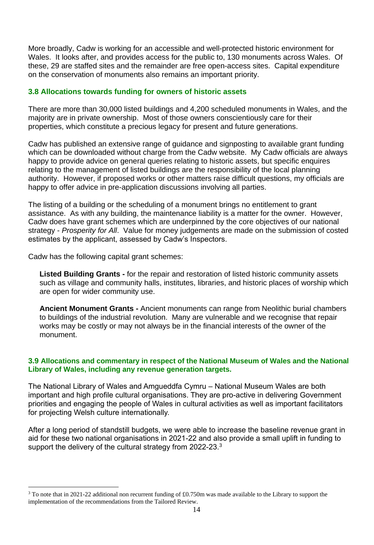More broadly, Cadw is working for an accessible and well-protected historic environment for Wales. It looks after, and provides access for the public to, 130 monuments across Wales. Of these, 29 are staffed sites and the remainder are free open-access sites. Capital expenditure on the conservation of monuments also remains an important priority.

### **3.8 Allocations towards funding for owners of historic assets**

There are more than 30,000 listed buildings and 4,200 scheduled monuments in Wales, and the majority are in private ownership. Most of those owners conscientiously care for their properties, which constitute a precious legacy for present and future generations.

Cadw has published an extensive range of guidance and signposting to available grant funding which can be downloaded without charge from the Cadw website. My Cadw officials are always happy to provide advice on general queries relating to historic assets, but specific enquires relating to the management of listed buildings are the responsibility of the local planning authority. However, if proposed works or other matters raise difficult questions, my officials are happy to offer advice in pre-application discussions involving all parties.

The listing of a building or the scheduling of a monument brings no entitlement to grant assistance. As with any building, the maintenance liability is a matter for the owner. However, Cadw does have grant schemes which are underpinned by the core objectives of our national strategy - *Prosperity for All*. Value for money judgements are made on the submission of costed estimates by the applicant, assessed by Cadw's Inspectors.

Cadw has the following capital grant schemes:

<u>.</u>

**Listed Building Grants -** for the repair and restoration of listed historic community assets such as village and community halls, institutes, libraries, and historic places of worship which are open for wider community use.

**Ancient Monument Grants -** Ancient monuments can range from Neolithic burial chambers to buildings of the industrial revolution. Many are vulnerable and we recognise that repair works may be costly or may not always be in the financial interests of the owner of the monument.

#### **3.9 Allocations and commentary in respect of the National Museum of Wales and the National Library of Wales, including any revenue generation targets.**

The National Library of Wales and Amgueddfa Cymru – National Museum Wales are both important and high profile cultural organisations. They are pro-active in delivering Government priorities and engaging the people of Wales in cultural activities as well as important facilitators for projecting Welsh culture internationally.

After a long period of standstill budgets, we were able to increase the baseline revenue grant in aid for these two national organisations in 2021-22 and also provide a small uplift in funding to support the delivery of the cultural strategy from 2022-23.<sup>3</sup>

<sup>&</sup>lt;sup>3</sup> To note that in 2021-22 additional non recurrent funding of £0.750m was made available to the Library to support the implementation of the recommendations from the Tailored Review.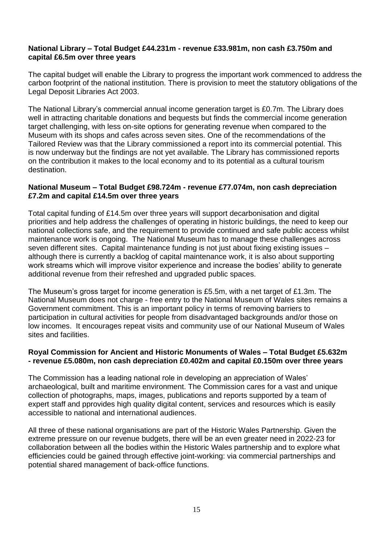#### **National Library – Total Budget £44.231m - revenue £33.981m, non cash £3.750m and capital £6.5m over three years**

The capital budget will enable the Library to progress the important work commenced to address the carbon footprint of the national institution. There is provision to meet the statutory obligations of the Legal Deposit Libraries Act 2003.

The National Library's commercial annual income generation target is £0.7m. The Library does well in attracting charitable donations and bequests but finds the commercial income generation target challenging, with less on-site options for generating revenue when compared to the Museum with its shops and cafes across seven sites. One of the recommendations of the Tailored Review was that the Library commissioned a report into its commercial potential. This is now underway but the findings are not yet available. The Library has commissioned reports on the contribution it makes to the local economy and to its potential as a cultural tourism destination.

#### **National Museum – Total Budget £98.724m - revenue £77.074m, non cash depreciation £7.2m and capital £14.5m over three years**

Total capital funding of £14.5m over three years will support decarbonisation and digital priorities and help address the challenges of operating in historic buildings, the need to keep our national collections safe, and the requirement to provide continued and safe public access whilst maintenance work is ongoing. The National Museum has to manage these challenges across seven different sites. Capital maintenance funding is not just about fixing existing issues although there is currently a backlog of capital maintenance work, it is also about supporting work streams which will improve visitor experience and increase the bodies' ability to generate additional revenue from their refreshed and upgraded public spaces.

The Museum's gross target for income generation is £5.5m, with a net target of £1.3m. The National Museum does not charge - free entry to the National Museum of Wales sites remains a Government commitment. This is an important policy in terms of removing barriers to participation in cultural activities for people from disadvantaged backgrounds and/or those on low incomes. It encourages repeat visits and community use of our National Museum of Wales sites and facilities.

#### **Royal Commission for Ancient and Historic Monuments of Wales – Total Budget £5.632m - revenue £5.080m, non cash depreciation £0.402m and capital £0.150m over three years**

The Commission has a leading national role in developing an appreciation of Wales' archaeological, built and maritime environment. The Commission cares for a vast and unique collection of photographs, maps, images, publications and reports supported by a team of expert staff and pprovides high quality digital content, services and resources which is easily accessible to national and international audiences.

All three of these national organisations are part of the Historic Wales Partnership. Given the extreme pressure on our revenue budgets, there will be an even greater need in 2022-23 for collaboration between all the bodies within the Historic Wales partnership and to explore what efficiencies could be gained through effective joint-working: via commercial partnerships and potential shared management of back-office functions.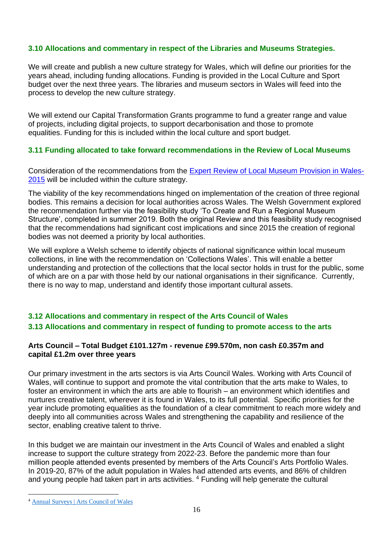## **3.10 Allocations and commentary in respect of the Libraries and Museums Strategies.**

We will create and publish a new culture strategy for Wales, which will define our priorities for the years ahead, including funding allocations. Funding is provided in the Local Culture and Sport budget over the next three years. The libraries and museum sectors in Wales will feed into the process to develop the new culture strategy.

We will extend our Capital Transformation Grants programme to fund a greater range and value of projects, including digital projects, to support decarbonisation and those to promote equalities. Funding for this is included within the local culture and sport budget.

#### **3.11 Funding allocated to take forward recommendations in the Review of Local Museums**

Consideration of the recommendations from the [Expert Review of Local Museum Provision in Wales-](https://gov.wales/sites/default/files/publications/2019-07/expert-review-of-local-museum-provision-in-wales-2015.pdf)[2015](https://gov.wales/sites/default/files/publications/2019-07/expert-review-of-local-museum-provision-in-wales-2015.pdf) will be included within the culture strategy.

The viability of the key recommendations hinged on implementation of the creation of three regional bodies. This remains a decision for local authorities across Wales. The Welsh Government explored the recommendation further via the feasibility study 'To Create and Run a Regional Museum Structure', completed in summer 2019. Both the original Review and this feasibility study recognised that the recommendations had significant cost implications and since 2015 the creation of regional bodies was not deemed a priority by local authorities.

We will explore a Welsh scheme to identify objects of national significance within local museum collections, in line with the recommendation on 'Collections Wales'. This will enable a better understanding and protection of the collections that the local sector holds in trust for the public, some of which are on a par with those held by our national organisations in their significance. Currently, there is no way to map, understand and identify those important cultural assets.

## **3.12 Allocations and commentary in respect of the Arts Council of Wales 3.13 Allocations and commentary in respect of funding to promote access to the arts**

#### **Arts Council – Total Budget £101.127m - revenue £99.570m, non cash £0.357m and capital £1.2m over three years**

Our primary investment in the arts sectors is via Arts Council Wales. Working with Arts Council of Wales, will continue to support and promote the vital contribution that the arts make to Wales, to foster an environment in which the arts are able to flourish – an environment which identifies and nurtures creative talent, wherever it is found in Wales, to its full potential. Specific priorities for the year include promoting equalities as the foundation of a clear commitment to reach more widely and deeply into all communities across Wales and strengthening the capability and resilience of the sector, enabling creative talent to thrive.

In this budget we are maintain our investment in the Arts Council of Wales and enabled a slight increase to support the culture strategy from 2022-23. Before the pandemic more than four million people attended events presented by members of the Arts Council's Arts Portfolio Wales. In 2019-20, 87% of the adult population in Wales had attended arts events, and 86% of children and young people had taken part in arts activities. <sup>4</sup> Funding will help generate the cultural

1

<sup>4</sup> [Annual Surveys | Arts Council of Wales](https://eur01.safelinks.protection.outlook.com/?url=https%3A%2F%2Farts.wales%2Fabout-us%2Fresearch%2Fannual-surveys&data=04%7C01%7CJoanne.Thomas%40gov.wales%7C1ffd86f2ed464c8141d808d9bfaf3d63%7Ca2cc36c592804ae78887d06dab89216b%7C0%7C0%7C637751581624225052%7CUnknown%7CTWFpbGZsb3d8eyJWIjoiMC4wLjAwMDAiLCJQIjoiV2luMzIiLCJBTiI6Ik1haWwiLCJXVCI6Mn0%3D%7C3000&sdata=W0ekibFJenvwz94%2FWOImdZxU%2FIfH%2FA3i0fH7fHpVOWU%3D&reserved=0)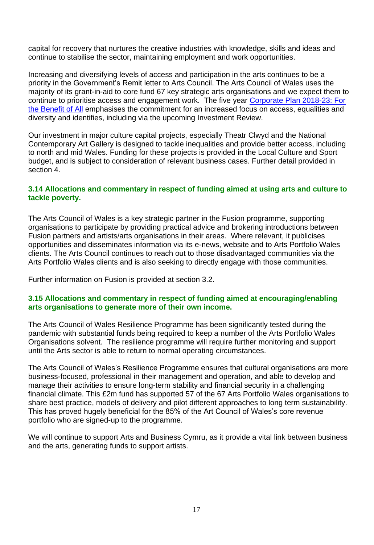capital for recovery that nurtures the creative industries with knowledge, skills and ideas and continue to stabilise the sector, maintaining employment and work opportunities.

Increasing and diversifying levels of access and participation in the arts continues to be a priority in the Government's Remit letter to Arts Council. The Arts Council of Wales uses the majority of its grant-in-aid to core fund 67 key strategic arts organisations and we expect them to continue to prioritise access and engagement work. The five year [Corporate Plan 2018-23: For](https://arts.wales/resources/corporate-plan-2018-23-for-benefit-all)  [the Benefit of All](https://arts.wales/resources/corporate-plan-2018-23-for-benefit-all) emphasises the commitment for an increased focus on access, equalities and diversity and identifies, including via the upcoming Investment Review.

Our investment in major culture capital projects, especially Theatr Clwyd and the National Contemporary Art Gallery is designed to tackle inequalities and provide better access, including to north and mid Wales. Funding for these projects is provided in the Local Culture and Sport budget, and is subject to consideration of relevant business cases. Further detail provided in section 4.

#### **3.14 Allocations and commentary in respect of funding aimed at using arts and culture to tackle poverty.**

The Arts Council of Wales is a key strategic partner in the Fusion programme, supporting organisations to participate by providing practical advice and brokering introductions between Fusion partners and artists/arts organisations in their areas. Where relevant, it publicises opportunities and disseminates information via its e-news, website and to Arts Portfolio Wales clients. The Arts Council continues to reach out to those disadvantaged communities via the Arts Portfolio Wales clients and is also seeking to directly engage with those communities.

Further information on Fusion is provided at section 3.2.

#### **3.15 Allocations and commentary in respect of funding aimed at encouraging/enabling arts organisations to generate more of their own income.**

The Arts Council of Wales Resilience Programme has been significantly tested during the pandemic with substantial funds being required to keep a number of the Arts Portfolio Wales Organisations solvent. The resilience programme will require further monitoring and support until the Arts sector is able to return to normal operating circumstances.

The Arts Council of Wales's Resilience Programme ensures that cultural organisations are more business-focused, professional in their management and operation, and able to develop and manage their activities to ensure long-term stability and financial security in a challenging financial climate. This £2m fund has supported 57 of the 67 Arts Portfolio Wales organisations to share best practice, models of delivery and pilot different approaches to long term sustainability. This has proved hugely beneficial for the 85% of the Art Council of Wales's core revenue portfolio who are signed-up to the programme.

We will continue to support Arts and Business Cymru, as it provide a vital link between business and the arts, generating funds to support artists.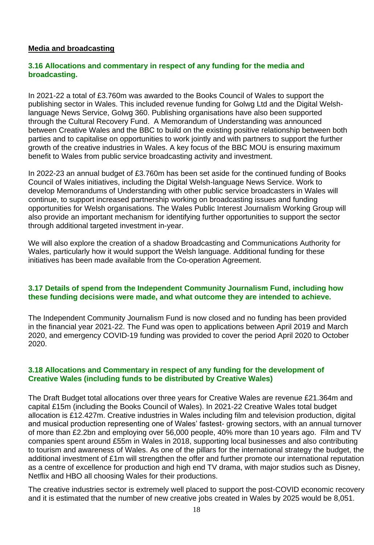#### **Media and broadcasting**

#### **3.16 Allocations and commentary in respect of any funding for the media and broadcasting.**

In 2021-22 a total of £3.760m was awarded to the Books Council of Wales to support the publishing sector in Wales. This included revenue funding for Golwg Ltd and the Digital Welshlanguage News Service, Golwg 360. Publishing organisations have also been supported through the Cultural Recovery Fund. A Memorandum of Understanding was announced between Creative Wales and the BBC to build on the existing positive relationship between both parties and to capitalise on opportunities to work jointly and with partners to support the further growth of the creative industries in Wales. A key focus of the BBC MOU is ensuring maximum benefit to Wales from public service broadcasting activity and investment.

In 2022-23 an annual budget of £3.760m has been set aside for the continued funding of Books Council of Wales initiatives, including the Digital Welsh-language News Service. Work to develop Memorandums of Understanding with other public service broadcasters in Wales will continue, to support increased partnership working on broadcasting issues and funding opportunities for Welsh organisations. The Wales Public Interest Journalism Working Group will also provide an important mechanism for identifying further opportunities to support the sector through additional targeted investment in-year.

We will also explore the creation of a shadow Broadcasting and Communications Authority for Wales, particularly how it would support the Welsh language. Additional funding for these initiatives has been made available from the Co-operation Agreement.

#### **3.17 Details of spend from the Independent Community Journalism Fund, including how these funding decisions were made, and what outcome they are intended to achieve.**

The Independent Community Journalism Fund is now closed and no funding has been provided in the financial year 2021-22. The Fund was open to applications between April 2019 and March 2020, and emergency COVID-19 funding was provided to cover the period April 2020 to October 2020.

#### **3.18 Allocations and Commentary in respect of any funding for the development of Creative Wales (including funds to be distributed by Creative Wales)**

The Draft Budget total allocations over three years for Creative Wales are revenue £21.364m and capital £15m (including the Books Council of Wales). In 2021-22 Creative Wales total budget allocation is £12.427m. Creative industries in Wales including film and television production, digital and musical production representing one of Wales' fastest- growing sectors, with an annual turnover of more than £2.2bn and employing over 56,000 people, 40% more than 10 years ago. Film and TV companies spent around £55m in Wales in 2018, supporting local businesses and also contributing to tourism and awareness of Wales. As one of the pillars for the international strategy the budget, the additional investment of £1m will strengthen the offer and further promote our international reputation as a centre of excellence for production and high end TV drama, with major studios such as Disney, Netflix and HBO all choosing Wales for their productions.

The creative industries sector is extremely well placed to support the post-COVID economic recovery and it is estimated that the number of new creative jobs created in Wales by 2025 would be 8,051.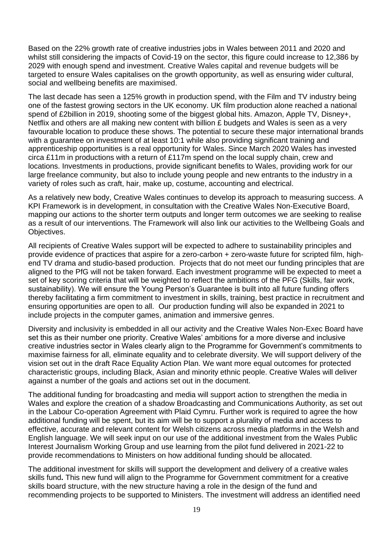Based on the 22% growth rate of creative industries jobs in Wales between 2011 and 2020 and whilst still considering the impacts of Covid-19 on the sector, this figure could increase to 12,386 by 2029 with enough spend and investment. Creative Wales capital and revenue budgets will be targeted to ensure Wales capitalises on the growth opportunity, as well as ensuring wider cultural, social and wellbeing benefits are maximised.

The last decade has seen a 125% growth in production spend, with the Film and TV industry being one of the fastest growing sectors in the UK economy. UK film production alone reached a national spend of £2billion in 2019, shooting some of the biggest global hits. Amazon, Apple TV, Disney+, Netflix and others are all making new content with billion £ budgets and Wales is seen as a very favourable location to produce these shows. The potential to secure these major international brands with a guarantee on investment of at least 10:1 while also providing significant training and apprenticeship opportunities is a real opportunity for Wales. Since March 2020 Wales has invested circa £11m in productions with a return of £117m spend on the local supply chain, crew and locations. Investments in productions, provide significant benefits to Wales, providing work for our large freelance community, but also to include young people and new entrants to the industry in a variety of roles such as craft, hair, make up, costume, accounting and electrical.

As a relatively new body, Creative Wales continues to develop its approach to measuring success. A KPI Framework is in development, in consultation with the Creative Wales Non-Executive Board, mapping our actions to the shorter term outputs and longer term outcomes we are seeking to realise as a result of our interventions. The Framework will also link our activities to the Wellbeing Goals and Objectives.

All recipients of Creative Wales support will be expected to adhere to sustainability principles and provide evidence of practices that aspire for a zero-carbon + zero-waste future for scripted film, highend TV drama and studio-based production. Projects that do not meet our funding principles that are aligned to the PfG will not be taken forward. Each investment programme will be expected to meet a set of key scoring criteria that will be weighted to reflect the ambitions of the PFG (Skills, fair work, sustainability). We will ensure the Young Person's Guarantee is built into all future funding offers thereby facilitating a firm commitment to investment in skills, training, best practice in recruitment and ensuring opportunities are open to all. Our production funding will also be expanded in 2021 to include projects in the computer games, animation and immersive genres.

Diversity and inclusivity is embedded in all our activity and the Creative Wales Non-Exec Board have set this as their number one priority. Creative Wales' ambitions for a more diverse and inclusive creative industries sector in Wales clearly align to the Programme for Government's commitments to maximise fairness for all, eliminate equality and to celebrate diversity. We will support delivery of the vision set out in the draft Race Equality Action Plan. We want more equal outcomes for protected characteristic groups, including Black, Asian and minority ethnic people. Creative Wales will deliver against a number of the goals and actions set out in the document.

The additional funding for broadcasting and media will support action to strengthen the media in Wales and explore the creation of a shadow Broadcasting and Communications Authority, as set out in the Labour Co-operation Agreement with Plaid Cymru. Further work is required to agree the how additional funding will be spent, but its aim will be to support a plurality of media and access to effective, accurate and relevant content for Welsh citizens across media platforms in the Welsh and English language. We will seek input on our use of the additional investment from the Wales Public Interest Journalism Working Group and use learning from the pilot fund delivered in 2021-22 to provide recommendations to Ministers on how additional funding should be allocated.

The additional investment for skills will support the development and delivery of a creative wales skills fund**.** This new fund will align to the Programme for Government commitment for a creative skills board structure, with the new structure having a role in the design of the fund and recommending projects to be supported to Ministers. The investment will address an identified need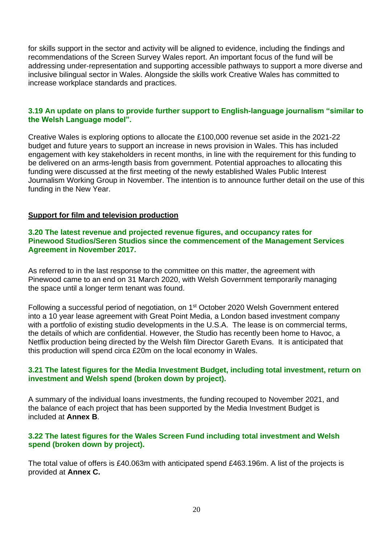for skills support in the sector and activity will be aligned to evidence, including the findings and recommendations of the Screen Survey Wales report. An important focus of the fund will be addressing under-representation and supporting accessible pathways to support a more diverse and inclusive bilingual sector in Wales. Alongside the skills work Creative Wales has committed to increase workplace standards and practices.

#### **3.19 An update on [plans](https://record.assembly.wales/Committee/11099#C345290) to provide further support to English-language journalism "similar to the Welsh Language model".**

Creative Wales is exploring options to allocate the £100,000 revenue set aside in the 2021-22 budget and future years to support an increase in news provision in Wales. This has included engagement with key stakeholders in recent months, in line with the requirement for this funding to be delivered on an arms-length basis from government. Potential approaches to allocating this funding were discussed at the first meeting of the newly established Wales Public Interest Journalism Working Group in November. The intention is to announce further detail on the use of this funding in the New Year.

#### **Support for film and television production**

#### **3.20 The latest revenue and projected revenue figures, and occupancy rates for Pinewood Studios/Seren Studios since the commencement of the Management Services Agreement in November 2017.**

As referred to in the last response to the committee on this matter, the agreement with Pinewood came to an end on 31 March 2020, with Welsh Government temporarily managing the space until a longer term tenant was found.

Following a successful period of negotiation, on 1<sup>st</sup> October 2020 Welsh Government entered into a 10 year lease agreement with Great Point Media, a London based investment company with a portfolio of existing studio developments in the U.S.A. The lease is on commercial terms, the details of which are confidential. However, the Studio has recently been home to Havoc, a Netflix production being directed by the Welsh film Director Gareth Evans. It is anticipated that this production will spend circa £20m on the local economy in Wales.

#### **3.21 The latest figures for the Media Investment Budget, including total investment, return on investment and Welsh spend (broken down by project).**

A summary of the individual loans investments, the funding recouped to November 2021, and the balance of each project that has been supported by the Media Investment Budget is included at **Annex B**.

#### **3.22 The latest figures for the Wales Screen Fund including total investment and Welsh spend (broken down by project).**

The total value of offers is £40.063m with anticipated spend £463.196m. A list of the projects is provided at **Annex C.**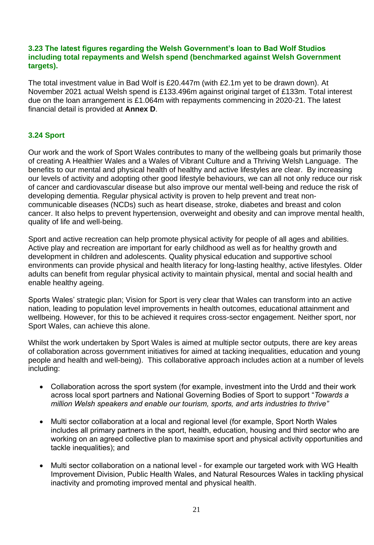#### **3.23 The latest figures regarding the Welsh Government's loan to Bad Wolf Studios including total repayments and Welsh spend (benchmarked against Welsh Government targets).**

The total investment value in Bad Wolf is £20.447m (with £2.1m yet to be drawn down). At November 2021 actual Welsh spend is £133.496m against original target of £133m. Total interest due on the loan arrangement is £1.064m with repayments commencing in 2020-21. The latest financial detail is provided at **Annex D**.

## **3.24 Sport**

Our work and the work of Sport Wales contributes to many of the wellbeing goals but primarily those of creating A Healthier Wales and a Wales of Vibrant Culture and a Thriving Welsh Language. The benefits to our mental and physical health of healthy and active lifestyles are clear. By increasing our levels of activity and adopting other good lifestyle behaviours, we can all not only reduce our risk of cancer and cardiovascular disease but also improve our mental well-being and reduce the risk of developing dementia. Regular physical activity is proven to help prevent and treat noncommunicable diseases (NCDs) such as heart disease, stroke, diabetes and breast and colon cancer. It also helps to prevent hypertension, overweight and obesity and can improve mental health, quality of life and well-being.

Sport and active recreation can help promote physical activity for people of all ages and abilities. Active play and recreation are important for early childhood as well as for healthy growth and development in children and adolescents. Quality physical education and supportive school environments can provide physical and health literacy for long-lasting healthy, active lifestyles. Older adults can benefit from regular physical activity to maintain physical, mental and social health and enable healthy ageing.

Sports Wales' strategic plan; Vision for Sport is very clear that Wales can transform into an active nation, leading to population level improvements in health outcomes, educational attainment and wellbeing. However, for this to be achieved it requires cross-sector engagement. Neither sport, nor Sport Wales, can achieve this alone.

Whilst the work undertaken by Sport Wales is aimed at multiple sector outputs, there are key areas of collaboration across government initiatives for aimed at tacking inequalities, education and young people and health and well-being). This collaborative approach includes action at a number of levels including:

- Collaboration across the sport system (for example, investment into the Urdd and their work across local sport partners and National Governing Bodies of Sport to support "*Towards a million Welsh speakers and enable our tourism, sports, and arts industries to thrive"*
- Multi sector collaboration at a local and regional level (for example, Sport North Wales includes all primary partners in the sport, health, education, housing and third sector who are working on an agreed collective plan to maximise sport and physical activity opportunities and tackle inequalities); and
- Multi sector collaboration on a national level for example our targeted work with WG Health Improvement Division, Public Health Wales, and Natural Resources Wales in tackling physical inactivity and promoting improved mental and physical health.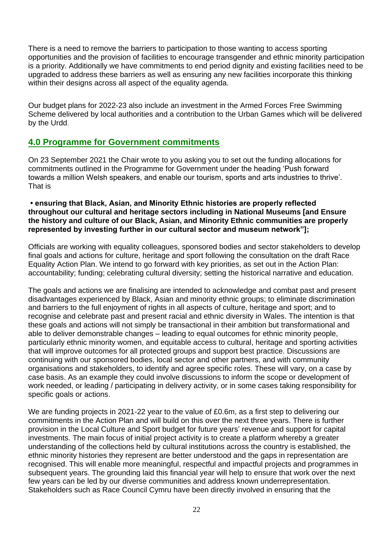There is a need to remove the barriers to participation to those wanting to access sporting opportunities and the provision of facilities to encourage transgender and ethnic minority participation is a priority. Additionally we have commitments to end period dignity and existing facilities need to be upgraded to address these barriers as well as ensuring any new facilities incorporate this thinking within their designs across all aspect of the equality agenda.

Our budget plans for 2022-23 also include an investment in the Armed Forces Free Swimming Scheme delivered by local authorities and a contribution to the Urban Games which will be delivered by the Urdd.

## **4.0 Programme for Government commitments**

On 23 September 2021 the Chair wrote to you asking you to set out the funding allocations for commitments outlined in the [Programme for Government](https://gov.wales/programme-for-government-2021-to-2026-html) under the heading 'Push forward towards a million Welsh speakers, and enable our tourism, sports and arts industries to thrive'. That is

#### **• ensuring that Black, Asian, and Minority Ethnic histories are properly reflected throughout our cultural and heritage sectors including in National Museums [and Ensure the history and culture of our Black, Asian, and Minority Ethnic communities are properly represented by investing further in our cultural sector and museum network"];**

Officials are working with equality colleagues, sponsored bodies and sector stakeholders to develop final goals and actions for culture, heritage and sport following the consultation on the draft Race Equality Action Plan. We intend to go forward with key priorities, as set out in the Action Plan: accountability; funding; celebrating cultural diversity; setting the historical narrative and education.

The goals and actions we are finalising are intended to acknowledge and combat past and present disadvantages experienced by Black, Asian and minority ethnic groups; to eliminate discrimination and barriers to the full enjoyment of rights in all aspects of culture, heritage and sport; and to recognise and celebrate past and present racial and ethnic diversity in Wales. The intention is that these goals and actions will not simply be transactional in their ambition but transformational and able to deliver demonstrable changes – leading to equal outcomes for ethnic minority people, particularly ethnic minority women, and equitable access to cultural, heritage and sporting activities that will improve outcomes for all protected groups and support best practice. Discussions are continuing with our sponsored bodies, local sector and other partners, and with community organisations and stakeholders, to identify and agree specific roles. These will vary, on a case by case basis. As an example they could involve discussions to inform the scope or development of work needed, or leading / participating in delivery activity, or in some cases taking responsibility for specific goals or actions.

We are funding projects in 2021-22 year to the value of £0.6m, as a first step to delivering our commitments in the Action Plan and will build on this over the next three years. There is further provision in the Local Culture and Sport budget for future years' revenue and support for capital investments. The main focus of initial project activity is to create a platform whereby a greater understanding of the collections held by cultural institutions across the country is established, the ethnic minority histories they represent are better understood and the gaps in representation are recognised. This will enable more meaningful, respectful and impactful projects and programmes in subsequent years. The grounding laid this financial year will help to ensure that work over the next few years can be led by our diverse communities and address known underrepresentation. Stakeholders such as Race Council Cymru have been directly involved in ensuring that the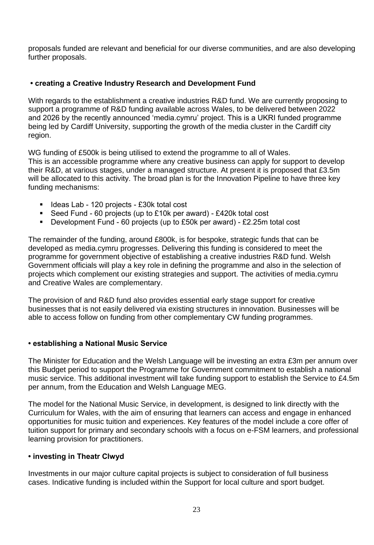proposals funded are relevant and beneficial for our diverse communities, and are also developing further proposals.

## **• creating a Creative Industry Research and Development Fund**

With regards to the establishment a creative industries R&D fund. We are currently proposing to support a programme of R&D funding available across Wales, to be delivered between 2022 and 2026 by the recently announced 'media.cymru' project. This is a UKRI funded programme being led by Cardiff University, supporting the growth of the media cluster in the Cardiff city region.

WG funding of £500k is being utilised to extend the programme to all of Wales. This is an accessible programme where any creative business can apply for support to develop their R&D, at various stages, under a managed structure. At present it is proposed that £3.5m will be allocated to this activity. The broad plan is for the Innovation Pipeline to have three key funding mechanisms:

- $\blacksquare$  Ideas Lab 120 projects £30k total cost
- Seed Fund 60 projects (up to £10k per award) £420k total cost
- Development Fund 60 projects (up to £50k per award) £2.25m total cost

The remainder of the funding, around £800k, is for bespoke, strategic funds that can be developed as media.cymru progresses. Delivering this funding is considered to meet the programme for government objective of establishing a creative industries R&D fund. Welsh Government officials will play a key role in defining the programme and also in the selection of projects which complement our existing strategies and support. The activities of media.cymru and Creative Wales are complementary.

The provision of and R&D fund also provides essential early stage support for creative businesses that is not easily delivered via existing structures in innovation. Businesses will be able to access follow on funding from other complementary CW funding programmes.

#### **• establishing a National Music Service**

The Minister for Education and the Welsh Language will be investing an extra £3m per annum over this Budget period to support the Programme for Government commitment to establish a national music service. This additional investment will take funding support to establish the Service to £4.5m per annum, from the Education and Welsh Language MEG.

The model for the National Music Service, in development, is designed to link directly with the Curriculum for Wales, with the aim of ensuring that learners can access and engage in enhanced opportunities for music tuition and experiences. Key features of the model include a core offer of tuition support for primary and secondary schools with a focus on e-FSM learners, and professional learning provision for practitioners.

#### **• investing in Theatr Clwyd**

Investments in our major culture capital projects is subject to consideration of full business cases. Indicative funding is included within the Support for local culture and sport budget.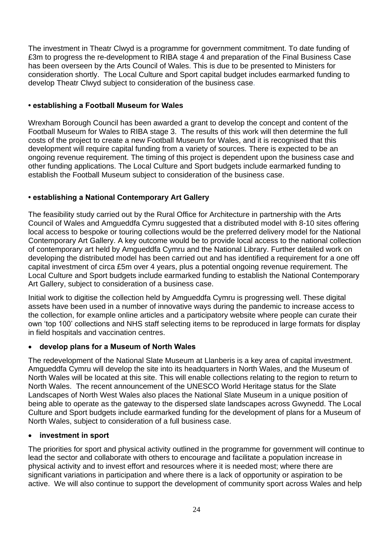The investment in Theatr Clwyd is a programme for government commitment. To date funding of £3m to progress the re-development to RIBA stage 4 and preparation of the Final Business Case has been overseen by the Arts Council of Wales. This is due to be presented to Ministers for consideration shortly. The Local Culture and Sport capital budget includes earmarked funding to develop Theatr Clwyd subject to consideration of the business case.

## **• establishing a Football Museum for Wales**

Wrexham Borough Council has been awarded a grant to develop the concept and content of the Football Museum for Wales to RIBA stage 3. The results of this work will then determine the full costs of the project to create a new Football Museum for Wales, and it is recognised that this development will require capital funding from a variety of sources. There is expected to be an ongoing revenue requirement. The timing of this project is dependent upon the business case and other funding applications. The Local Culture and Sport budgets include earmarked funding to establish the Football Museum subject to consideration of the business case.

## **• establishing a National Contemporary Art Gallery**

The feasibility study carried out by the Rural Office for Architecture in partnership with the Arts Council of Wales and Amgueddfa Cymru suggested that a distributed model with 8-10 sites offering local access to bespoke or touring collections would be the preferred delivery model for the National Contemporary Art Gallery. A key outcome would be to provide local access to the national collection of contemporary art held by Amgueddfa Cymru and the National Library. Further detailed work on developing the distributed model has been carried out and has identified a requirement for a one off capital investment of circa £5m over 4 years, plus a potential ongoing revenue requirement. The Local Culture and Sport budgets include earmarked funding to establish the National Contemporary Art Gallery, subject to consideration of a business case.

Initial work to digitise the collection held by Amgueddfa Cymru is progressing well. These digital assets have been used in a number of innovative ways during the pandemic to increase access to the collection, for example online articles and a participatory website where people can curate their own 'top 100' collections and NHS staff selecting items to be reproduced in large formats for display in field hospitals and vaccination centres.

#### **develop plans for a Museum of North Wales**

The redevelopment of the National Slate Museum at Llanberis is a key area of capital investment. Amgueddfa Cymru will develop the site into its headquarters in North Wales, and the Museum of North Wales will be located at this site. This will enable collections relating to the region to return to North Wales. The recent announcement of the UNESCO World Heritage status for the Slate Landscapes of North West Wales also places the National Slate Museum in a unique position of being able to operate as the gateway to the dispersed slate landscapes across Gwynedd. The Local Culture and Sport budgets include earmarked funding for the development of plans for a Museum of North Wales, subject to consideration of a full business case.

#### **investment in sport**

The priorities for sport and physical activity outlined in the programme for government will continue to lead the sector and collaborate with others to encourage and facilitate a population increase in physical activity and to invest effort and resources where it is needed most; where there are significant variations in participation and where there is a lack of opportunity or aspiration to be active. We will also continue to support the development of community sport across Wales and help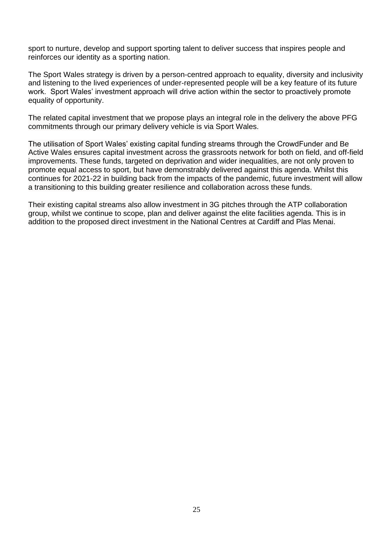sport to nurture, develop and support sporting talent to deliver success that inspires people and reinforces our identity as a sporting nation.

The Sport Wales strategy is driven by a person-centred approach to equality, diversity and inclusivity and listening to the lived experiences of under-represented people will be a key feature of its future work. Sport Wales' investment approach will drive action within the sector to proactively promote equality of opportunity.

The related capital investment that we propose plays an integral role in the delivery the above PFG commitments through our primary delivery vehicle is via Sport Wales.

The utilisation of Sport Wales' existing capital funding streams through the CrowdFunder and Be Active Wales ensures capital investment across the grassroots network for both on field, and off-field improvements. These funds, targeted on deprivation and wider inequalities, are not only proven to promote equal access to sport, but have demonstrably delivered against this agenda. Whilst this continues for 2021-22 in building back from the impacts of the pandemic, future investment will allow a transitioning to this building greater resilience and collaboration across these funds.

Their existing capital streams also allow investment in 3G pitches through the ATP collaboration group, whilst we continue to scope, plan and deliver against the elite facilities agenda. This is in addition to the proposed direct investment in the National Centres at Cardiff and Plas Menai.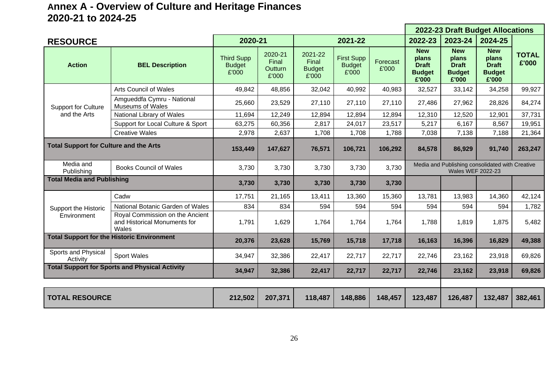# **Annex A - Overview of Culture and Heritage Finances 2020-21 to 2024-25**

|                                                                                                     |                                                                          |                                             |                                      |                                            |                                             |                   |                                                               | 2022-23 Draft Budget Allocations                                            |                                                               |                       |
|-----------------------------------------------------------------------------------------------------|--------------------------------------------------------------------------|---------------------------------------------|--------------------------------------|--------------------------------------------|---------------------------------------------|-------------------|---------------------------------------------------------------|-----------------------------------------------------------------------------|---------------------------------------------------------------|-----------------------|
| <b>RESOURCE</b>                                                                                     |                                                                          | 2020-21                                     |                                      |                                            | 2021-22                                     |                   | 2022-23                                                       | 2023-24                                                                     | 2024-25                                                       |                       |
| <b>Action</b>                                                                                       | <b>BEL Description</b>                                                   | <b>Third Supp</b><br><b>Budget</b><br>£'000 | 2020-21<br>Final<br>Outturn<br>£'000 | 2021-22<br>Final<br><b>Budget</b><br>£'000 | <b>First Supp</b><br><b>Budget</b><br>£'000 | Forecast<br>£'000 | <b>New</b><br>plans<br><b>Draft</b><br><b>Budget</b><br>£'000 | <b>New</b><br>plans<br><b>Draft</b><br><b>Budget</b><br>£'000               | <b>New</b><br>plans<br><b>Draft</b><br><b>Budget</b><br>£'000 | <b>TOTAL</b><br>£'000 |
|                                                                                                     | <b>Arts Council of Wales</b>                                             | 49,842                                      | 48,856                               | 32,042                                     | 40,992                                      | 40,983            | 32,527                                                        | 33,142                                                                      | 34,258                                                        | 99,927                |
| <b>Support for Culture</b>                                                                          | Amgueddfa Cymru - National<br><b>Museums of Wales</b>                    | 25,660                                      | 23,529                               | 27,110                                     | 27,110                                      | 27,110            | 27,486                                                        | 27,962                                                                      | 28,826                                                        | 84,274                |
| and the Arts                                                                                        | National Library of Wales                                                | 11,694                                      | 12,249                               | 12,894                                     | 12,894                                      | 12,894            | 12,310                                                        | 12,520                                                                      | 12,901                                                        | 37,731                |
|                                                                                                     | Support for Local Culture & Sport                                        | 63,275                                      | 60,356                               | 2,817                                      | 24,017                                      | 23,517            | 5,217                                                         | 6,167                                                                       | 8,567                                                         | 19,951                |
|                                                                                                     | <b>Creative Wales</b>                                                    | 2,978                                       | 2,637                                | 1,708                                      | 1,708                                       | 1,788             | 7,038                                                         | 7,138                                                                       | 7,188                                                         | 21,364                |
| <b>Total Support for Culture and the Arts</b><br>153,449<br>147,627<br>106,721<br>106,292<br>76,571 |                                                                          | 84,578                                      | 86,929                               | 91,740                                     | 263,247                                     |                   |                                                               |                                                                             |                                                               |                       |
| Media and<br>Publishing                                                                             | <b>Books Council of Wales</b>                                            | 3,730                                       | 3,730                                | 3,730                                      | 3,730                                       | 3,730             |                                                               | Media and Publishing consolidated with Creative<br><b>Wales WEF 2022-23</b> |                                                               |                       |
| <b>Total Media and Publishing</b>                                                                   |                                                                          | 3,730                                       | 3,730                                | 3,730                                      | 3,730                                       | 3,730             |                                                               |                                                                             |                                                               |                       |
|                                                                                                     | Cadw                                                                     | 17,751                                      | 21,165                               | 13,411                                     | 13,360                                      | 15,360            | 13,781                                                        | 13,983                                                                      | 14,360                                                        | 42,124                |
| Support the Historic                                                                                | National Botanic Garden of Wales                                         | 834                                         | 834                                  | 594                                        | 594                                         | 594               | 594                                                           | 594                                                                         | 594                                                           | 1,782                 |
| Environment                                                                                         | Royal Commission on the Ancient<br>and Historical Monuments for<br>Wales | 1,791                                       | 1,629                                | 1,764                                      | 1,764                                       | 1,764             | 1,788                                                         | 1,819                                                                       | 1,875                                                         | 5,482                 |
|                                                                                                     | <b>Total Support for the Historic Environment</b>                        | 20,376                                      | 23,628                               | 15,769                                     | 15,718                                      | 17,718            | 16,163                                                        | 16,396                                                                      | 16,829                                                        | 49,388                |
| Sports and Physical<br>Activity                                                                     | Sport Wales                                                              | 34,947                                      | 32,386                               | 22,417                                     | 22,717                                      | 22,717            | 22,746                                                        | 23,162                                                                      | 23,918                                                        | 69,826                |
| <b>Total Support for Sports and Physical Activity</b>                                               |                                                                          | 34,947                                      | 32,386                               | 22,417                                     | 22,717                                      | 22,717            | 22,746                                                        | 23,162                                                                      | 23,918                                                        | 69,826                |
|                                                                                                     |                                                                          |                                             |                                      |                                            |                                             |                   |                                                               |                                                                             |                                                               |                       |
| <b>TOTAL RESOURCE</b>                                                                               |                                                                          | 212,502                                     | 207,371                              | 118,487                                    | 148,886                                     | 148,457           | 123,487                                                       | 126,487                                                                     | 132,487                                                       | 382,461               |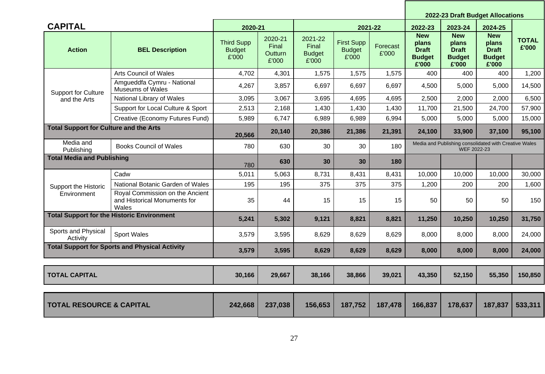|                                     |                                                                          |                                             |                                      |                                            |                                             |                   |                                                                      | 2022-23 Draft Budget Allocations                              |                                                               |                       |
|-------------------------------------|--------------------------------------------------------------------------|---------------------------------------------|--------------------------------------|--------------------------------------------|---------------------------------------------|-------------------|----------------------------------------------------------------------|---------------------------------------------------------------|---------------------------------------------------------------|-----------------------|
| <b>CAPITAL</b>                      |                                                                          | 2020-21                                     |                                      |                                            |                                             | 2021-22           | 2022-23                                                              | 2023-24                                                       | 2024-25                                                       |                       |
| <b>Action</b>                       | <b>BEL Description</b>                                                   | <b>Third Supp</b><br><b>Budget</b><br>£'000 | 2020-21<br>Final<br>Outturn<br>£'000 | 2021-22<br>Final<br><b>Budget</b><br>£'000 | <b>First Supp</b><br><b>Budget</b><br>£'000 | Forecast<br>£'000 | <b>New</b><br>plans<br><b>Draft</b><br><b>Budget</b><br>£'000        | <b>New</b><br>plans<br><b>Draft</b><br><b>Budget</b><br>£'000 | <b>New</b><br>plans<br><b>Draft</b><br><b>Budget</b><br>£'000 | <b>TOTAL</b><br>£'000 |
|                                     | <b>Arts Council of Wales</b>                                             | 4,702                                       | 4,301                                | 1,575                                      | 1,575                                       | 1,575             | 400                                                                  | 400                                                           | 400                                                           | 1,200                 |
| <b>Support for Culture</b>          | Amqueddfa Cymru - National<br><b>Museums of Wales</b>                    | 4,267                                       | 3,857                                | 6,697                                      | 6,697                                       | 6,697             | 4,500                                                                | 5,000                                                         | 5,000                                                         | 14,500                |
| and the Arts                        | National Library of Wales                                                | 3,095                                       | 3,067                                | 3,695                                      | 4,695                                       | 4,695             | 2,500                                                                | 2,000                                                         | 2,000                                                         | 6,500                 |
|                                     | Support for Local Culture & Sport                                        | 2,513                                       | 2,168                                | 1,430                                      | 1,430                                       | 1,430             | 11,700                                                               | 21,500                                                        | 24,700                                                        | 57,900                |
|                                     | Creative (Economy Futures Fund)                                          | 5,989                                       | 6,747                                | 6,989                                      | 6,989                                       | 6,994             | 5,000                                                                | 5,000                                                         | 5,000                                                         | 15,000                |
|                                     | <b>Total Support for Culture and the Arts</b>                            |                                             | 20,140                               | 20,386                                     | 21,386                                      | 21,391            | 24,100                                                               | 33,900                                                        | 37,100                                                        | 95,100                |
| Media and<br>Publishing             | <b>Books Council of Wales</b>                                            | 780                                         | 630                                  | 30                                         | 30                                          | 180               | Media and Publishing consolidated with Creative Wales<br>WEF 2022-23 |                                                               |                                                               |                       |
| <b>Total Media and Publishing</b>   |                                                                          | 780                                         | 630                                  | 30                                         | 30                                          | 180               |                                                                      |                                                               |                                                               |                       |
|                                     | Cadw                                                                     | 5,011                                       | 5,063                                | 8,731                                      | 8,431                                       | 8,431             | 10,000                                                               | 10,000                                                        | 10,000                                                        | 30,000                |
| Support the Historic                | National Botanic Garden of Wales                                         | 195                                         | 195                                  | 375                                        | 375                                         | 375               | 1,200                                                                | 200                                                           | 200                                                           | 1,600                 |
| Environment                         | Royal Commission on the Ancient<br>and Historical Monuments for<br>Wales | 35                                          | 44                                   | 15                                         | 15                                          | 15                | 50                                                                   | 50                                                            | 50                                                            | 150                   |
|                                     | <b>Total Support for the Historic Environment</b>                        | 5,241                                       | 5,302                                | 9,121                                      | 8,821                                       | 8,821             | 11,250                                                               | 10,250                                                        | 10,250                                                        | 31,750                |
| Sports and Physical<br>Activity     | Sport Wales                                                              | 3,579                                       | 3,595                                | 8,629                                      | 8,629                                       | 8,629             | 8,000                                                                | 8,000                                                         | 8,000                                                         | 24,000                |
|                                     | <b>Total Support for Sports and Physical Activity</b>                    | 3,579                                       | 3,595                                | 8,629                                      | 8,629                                       | 8,629             | 8,000                                                                | 8,000                                                         | 8,000                                                         | 24,000                |
|                                     |                                                                          |                                             |                                      |                                            |                                             |                   |                                                                      |                                                               |                                                               |                       |
| <b>TOTAL CAPITAL</b>                |                                                                          | 30,166                                      | 29,667                               | 38,166                                     | 38,866                                      | 39,021            | 43,350                                                               | 52,150                                                        | 55,350                                                        | 150,850               |
|                                     |                                                                          |                                             |                                      |                                            |                                             |                   |                                                                      |                                                               |                                                               |                       |
| <b>TOTAL RESOURCE &amp; CAPITAL</b> |                                                                          | 242,668                                     | 237,038                              | 156,653                                    | 187,752                                     | 187,478           | 166,837                                                              | 178,637                                                       | 187,837                                                       | 533,311               |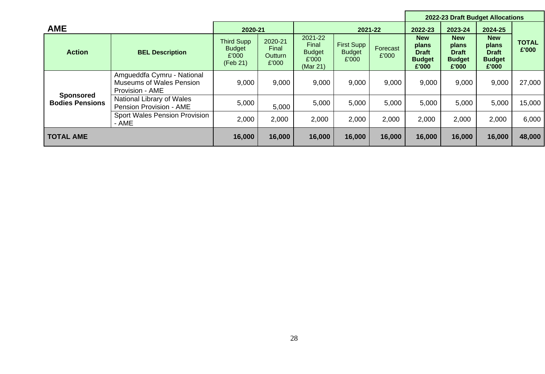|                                            |                                                                                  |                                                         |                                      |                                                        |                                      |                   |                                                                                                                                | 2022-23 Draft Budget Allocations |                                                               |                       |  |
|--------------------------------------------|----------------------------------------------------------------------------------|---------------------------------------------------------|--------------------------------------|--------------------------------------------------------|--------------------------------------|-------------------|--------------------------------------------------------------------------------------------------------------------------------|----------------------------------|---------------------------------------------------------------|-----------------------|--|
| <b>AME</b>                                 |                                                                                  | 2020-21                                                 |                                      | 2021-22                                                |                                      |                   | 2022-23                                                                                                                        | 2023-24                          | 2024-25                                                       |                       |  |
| <b>Action</b>                              | <b>BEL Description</b>                                                           | <b>Third Supp</b><br><b>Budget</b><br>£'000<br>(Feb 21) | 2020-21<br>Final<br>Outturn<br>£'000 | 2021-22<br>Final<br><b>Budget</b><br>£'000<br>(Mar 21) | First Supp<br><b>Budget</b><br>£'000 | Forecast<br>£'000 | <b>New</b><br><b>New</b><br>plans<br>plans<br><b>Draft</b><br><b>Draft</b><br><b>Budget</b><br><b>Budget</b><br>£'000<br>£'000 |                                  | <b>New</b><br>plans<br><b>Draft</b><br><b>Budget</b><br>£'000 | <b>TOTAL</b><br>£'000 |  |
|                                            | Amgueddfa Cymru - National<br><b>Museums of Wales Pension</b><br>Provision - AME | 9,000                                                   | 9,000                                | 9,000                                                  | 9,000                                | 9,000             | 9,000                                                                                                                          | 9,000                            | 9,000                                                         | 27,000                |  |
| <b>Sponsored</b><br><b>Bodies Pensions</b> | National Library of Wales<br>Pension Provision - AME                             | 5,000                                                   | 5,000                                | 5,000                                                  | 5,000                                | 5,000             | 5,000                                                                                                                          | 5,000                            | 5,000                                                         | 15,000                |  |
|                                            | <b>Sport Wales Pension Provision</b><br>- AME                                    | 2,000                                                   | 2,000                                | 2,000                                                  | 2,000                                | 2,000             | 2,000                                                                                                                          | 2,000                            | 2,000                                                         | 6,000                 |  |
| <b>TOTAL AME</b>                           |                                                                                  | 16,000                                                  | 16,000                               | 16,000                                                 | 16,000                               | 16,000            | 16,000                                                                                                                         | 16,000                           | 16,000                                                        | 48,000                |  |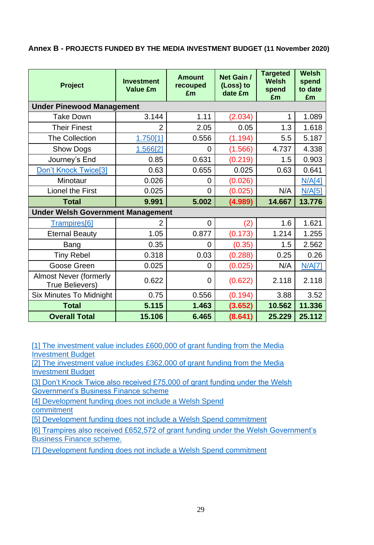| Project                                          | <b>Investment</b><br><b>Value £m</b> | <b>Amount</b><br>recouped<br>£m | Net Gain /<br>(Loss) to<br>date £m | <b>Targeted</b><br><b>Welsh</b><br>spend<br>£m | <b>Welsh</b><br>spend<br>to date<br>£m |
|--------------------------------------------------|--------------------------------------|---------------------------------|------------------------------------|------------------------------------------------|----------------------------------------|
| <b>Under Pinewood Management</b>                 |                                      |                                 |                                    |                                                |                                        |
| <b>Take Down</b>                                 | 3.144                                | 1.11                            | (2.034)                            | 1                                              | 1.089                                  |
| <b>Their Finest</b>                              | $\overline{2}$                       | 2.05                            | 0.05                               | 1.3                                            | 1.618                                  |
| <b>The Collection</b>                            | 1.750[1]                             | 0.556                           | (1.194)                            | 5.5                                            | 5.187                                  |
| <b>Show Dogs</b>                                 | 1.566[2]                             | 0                               | (1.566)                            | 4.737                                          | 4.338                                  |
| Journey's End                                    | 0.85                                 | 0.631                           | (0.219)                            | 1.5                                            | 0.903                                  |
| <b>Don't Knock Twice[3]</b>                      | 0.63                                 | 0.655                           | 0.025                              | 0.63                                           | 0.641                                  |
| Minotaur                                         | 0.026                                | 0                               | (0.026)                            |                                                | N/A[4]                                 |
| <b>Lionel the First</b>                          | 0.025                                | $\overline{0}$                  | (0.025)                            | N/A                                            | N/A[5]                                 |
| <b>Total</b>                                     | 9.991                                | 5.002                           | (4.989)                            | 14.667                                         | 13.776                                 |
| <b>Under Welsh Government Management</b>         |                                      |                                 |                                    |                                                |                                        |
| Trampires <sup>[6]</sup>                         | $\overline{2}$                       | $\overline{0}$                  | (2)                                | 1.6                                            | 1.621                                  |
| <b>Eternal Beauty</b>                            | 1.05                                 | 0.877                           | (0.173)                            | 1.214                                          | 1.255                                  |
| Bang                                             | 0.35                                 | 0                               | (0.35)                             | 1.5                                            | 2.562                                  |
| <b>Tiny Rebel</b>                                | 0.318                                | 0.03                            | (0.288)                            | 0.25                                           | 0.26                                   |
| Goose Green                                      | 0.025                                | 0                               | (0.025)                            | N/A                                            | N/A[7]                                 |
| <b>Almost Never (formerly</b><br>True Believers) | 0.622                                | $\overline{0}$                  | (0.622)                            | 2.118                                          | 2.118                                  |
| <b>Six Minutes To Midnight</b>                   | 0.75                                 | 0.556                           | (0.194)                            | 3.88                                           | 3.52                                   |
| <b>Total</b>                                     | 5.115                                | 1.463                           | (3.652)                            | 10.562                                         | 11.336                                 |
| <b>Overall Total</b>                             | 15.106                               | 6.465                           | (8.641)                            | 25.229                                         | 25.112                                 |

**Annex B - PROJECTS FUNDED BY THE MEDIA INVESTMENT BUDGET (11 November 2020)**

[1] The investment value includes £600,000 of grant funding from the Media [Investment Budget](file:///D:/Users/KinseyM/AppData/Local/Microsoft/Windows/INetCache/Content.Outlook/ZP3HE32N/CWLC%20-%20MIB%202020.xlsx%23RANGE!B5)

[2] The investment value includes £362,000 of grant funding from the Media [Investment Budget](file:///D:/Users/KinseyM/AppData/Local/Microsoft/Windows/INetCache/Content.Outlook/ZP3HE32N/CWLC%20-%20MIB%202020.xlsx%23RANGE!B6)

[3] Don't Knock Twice also received £75,000 of grant funding under the Welsh [Government's Business Finance](file:///D:/Users/KinseyM/AppData/Local/Microsoft/Windows/INetCache/Content.Outlook/ZP3HE32N/CWLC%20-%20MIB%202020.xlsx%23RANGE!A8) scheme

[\[4\] Development funding does not include a Welsh Spend](file:///D:/Users/KinseyM/AppData/Local/Microsoft/Windows/INetCache/Content.Outlook/ZP3HE32N/CWLC%20-%20MIB%202020.xlsx%23RANGE!F9)  [commitment](file:///D:/Users/KinseyM/AppData/Local/Microsoft/Windows/INetCache/Content.Outlook/ZP3HE32N/CWLC%20-%20MIB%202020.xlsx%23RANGE!F9)

[\[5\] Development funding does not include a Welsh Spend commitment](file:///D:/Users/KinseyM/AppData/Local/Microsoft/Windows/INetCache/Content.Outlook/ZP3HE32N/CWLC%20-%20MIB%202020.xlsx%23RANGE!F10)

[\[6\] Trampires also received £652,572 of grant funding under the Welsh Government's](file:///D:/Users/KinseyM/AppData/Local/Microsoft/Windows/INetCache/Content.Outlook/ZP3HE32N/CWLC%20-%20MIB%202020.xlsx%23RANGE!A13)  [Business Finance](file:///D:/Users/KinseyM/AppData/Local/Microsoft/Windows/INetCache/Content.Outlook/ZP3HE32N/CWLC%20-%20MIB%202020.xlsx%23RANGE!A13) scheme.

[\[7\] Development funding does not include a Welsh Spend commitment](file:///D:/Users/KinseyM/AppData/Local/Microsoft/Windows/INetCache/Content.Outlook/ZP3HE32N/CWLC%20-%20MIB%202020.xlsx%23RANGE!F17)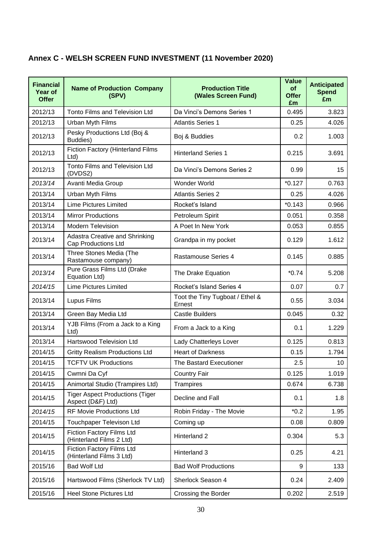| <b>Financial</b><br>Year of<br><b>Offer</b> | <b>Name of Production Company</b><br>(SPV)                          | <b>Production Title</b><br>(Wales Screen Fund) | Value<br><b>of</b><br><b>Offer</b><br>£m | <b>Anticipated</b><br><b>Spend</b><br>£m |
|---------------------------------------------|---------------------------------------------------------------------|------------------------------------------------|------------------------------------------|------------------------------------------|
| 2012/13                                     | Tonto Films and Television Ltd                                      | Da Vinci's Demons Series 1                     | 0.495                                    | 3.823                                    |
| 2012/13                                     | Urban Myth Films                                                    | <b>Atlantis Series 1</b>                       | 0.25                                     | 4.026                                    |
| 2012/13                                     | Pesky Productions Ltd (Boj &<br>Buddies)                            | Boj & Buddies                                  | 0.2                                      | 1.003                                    |
| 2012/13                                     | Fiction Factory (Hinterland Films<br>Ltd)                           | <b>Hinterland Series 1</b>                     | 0.215                                    | 3.691                                    |
| 2012/13                                     | Tonto Films and Television Ltd<br>(DVDS2)                           | Da Vinci's Demons Series 2                     | 0.99                                     | 15                                       |
| 2013/14                                     | Avanti Media Group                                                  | Wonder World                                   | $*0.127$                                 | 0.763                                    |
| 2013/14                                     | Urban Myth Films                                                    | <b>Atlantis Series 2</b>                       | 0.25                                     | 4.026                                    |
| 2013/14                                     | <b>Lime Pictures Limited</b>                                        | Rocket's Island                                | $*0.143$                                 | 0.966                                    |
| 2013/14                                     | <b>Mirror Productions</b>                                           | Petroleum Spirit                               | 0.051                                    | 0.358                                    |
| 2013/14                                     | <b>Modern Television</b>                                            | A Poet In New York                             | 0.053                                    | 0.855                                    |
| 2013/14                                     | <b>Adastra Creative and Shrinking</b><br><b>Cap Productions Ltd</b> | Grandpa in my pocket                           | 0.129                                    | 1.612                                    |
| 2013/14                                     | Three Stones Media (The<br>Rastamouse company)                      | <b>Rastamouse Series 4</b>                     | 0.145                                    | 0.885                                    |
| 2013/14                                     | Pure Grass Films Ltd (Drake<br>Equation Ltd)                        | The Drake Equation                             | $*0.74$                                  | 5.208                                    |
| 2014/15                                     | <b>Lime Pictures Limited</b>                                        | Rocket's Island Series 4                       | 0.07                                     | 0.7                                      |
| 2013/14                                     | Lupus Films                                                         | Toot the Tiny Tugboat / Ethel &<br>Ernest      | 0.55                                     | 3.034                                    |
| 2013/14                                     | Green Bay Media Ltd                                                 | <b>Castle Builders</b>                         | 0.045                                    | 0.32                                     |
| 2013/14                                     | YJB Films (From a Jack to a King<br>Ltd)                            | From a Jack to a King                          | 0.1                                      | 1.229                                    |
| 2013/14                                     | <b>Hartswood Television Ltd</b>                                     | Lady Chatterleys Lover                         | 0.125                                    | 0.813                                    |
| 2014/15                                     | <b>Gritty Realism Productions Ltd</b>                               | <b>Heart of Darkness</b>                       | 0.15                                     | 1.794                                    |
| 2014/15                                     | <b>TCFTV UK Productions</b>                                         | <b>The Bastard Executioner</b>                 | 2.5                                      | 10 <sup>°</sup>                          |
| 2014/15                                     | Cwmni Da Cyf                                                        | <b>Country Fair</b>                            | 0.125                                    | 1.019                                    |
| 2014/15                                     | Animortal Studio (Trampires Ltd)                                    | <b>Trampires</b>                               | 0.674                                    | 6.738                                    |
| 2014/15                                     | <b>Tiger Aspect Productions (Tiger</b><br>Aspect (D&F) Ltd)         | Decline and Fall                               | 0.1                                      | 1.8                                      |
| 2014/15                                     | <b>RF Movie Productions Ltd</b>                                     | Robin Friday - The Movie                       | $*0.2$                                   | 1.95                                     |
| 2014/15                                     | Touchpaper Televison Ltd                                            | Coming up                                      | 0.08                                     | 0.809                                    |
| 2014/15                                     | <b>Fiction Factory Films Ltd</b><br>(Hinterland Films 2 Ltd)        | Hinterland 2                                   | 0.304                                    | 5.3                                      |
| 2014/15                                     | Fiction Factory Films Ltd<br>(Hinterland Films 3 Ltd)               | Hinterland 3                                   | 0.25                                     | 4.21                                     |
| 2015/16                                     | <b>Bad Wolf Ltd</b>                                                 | <b>Bad Wolf Productions</b>                    | 9                                        | 133                                      |
| 2015/16                                     | Hartswood Films (Sherlock TV Ltd)                                   | Sherlock Season 4                              | 0.24                                     | 2.409                                    |

## **Annex C - WELSH SCREEN FUND INVESTMENT (11 November 2020)**

2015/16 | Heel Stone Pictures Ltd | Crossing the Border | 0.202 | 2.519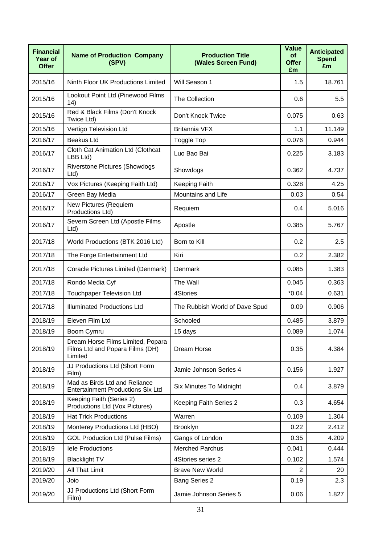| <b>Financial</b><br>Year of<br><b>Offer</b> | <b>Name of Production Company</b><br>(SPV)                                      | <b>Production Title</b><br>(Wales Screen Fund) | <b>Value</b><br><b>of</b><br><b>Offer</b><br>£m | <b>Anticipated</b><br><b>Spend</b><br>£m |
|---------------------------------------------|---------------------------------------------------------------------------------|------------------------------------------------|-------------------------------------------------|------------------------------------------|
| 2015/16                                     | Ninth Floor UK Productions Limited                                              | Will Season 1                                  | 1.5                                             | 18.761                                   |
| 2015/16                                     | Lookout Point Ltd (Pinewood Films<br>(14)                                       | <b>The Collection</b>                          | 0.6                                             | 5.5                                      |
| 2015/16                                     | Red & Black Films (Don't Knock<br>Twice Ltd)                                    | Don't Knock Twice                              | 0.075                                           | 0.63                                     |
| 2015/16                                     | Vertigo Television Ltd                                                          | <b>Britannia VFX</b>                           | 1.1                                             | 11.149                                   |
| 2016/17                                     | <b>Beakus Ltd</b>                                                               | Toggle Top                                     | 0.076                                           | 0.944                                    |
| 2016/17                                     | Cloth Cat Animation Ltd (Clothcat<br>LBB Ltd)                                   | Luo Bao Bai                                    | 0.225                                           | 3.183                                    |
| 2016/17                                     | <b>Riverstone Pictures (Showdogs</b><br>Ltd                                     | Showdogs                                       | 0.362                                           | 4.737                                    |
| 2016/17                                     | Vox Pictures (Keeping Faith Ltd)                                                | <b>Keeping Faith</b>                           | 0.328                                           | 4.25                                     |
| 2016/17                                     | Green Bay Media                                                                 | Mountains and Life                             | 0.03                                            | 0.54                                     |
| 2016/17                                     | New Pictures (Requiem<br>Productions Ltd)                                       | Requiem                                        | 0.4                                             | 5.016                                    |
| 2016/17                                     | Severn Screen Ltd (Apostle Films<br>Ltd                                         | Apostle                                        | 0.385                                           | 5.767                                    |
| 2017/18                                     | World Productions (BTK 2016 Ltd)                                                | Born to Kill                                   | 0.2                                             | 2.5                                      |
| 2017/18                                     | The Forge Entertainment Ltd                                                     | Kiri                                           | 0.2                                             | 2.382                                    |
| 2017/18                                     | Coracle Pictures Limited (Denmark)                                              | Denmark                                        | 0.085                                           | 1.383                                    |
| 2017/18                                     | Rondo Media Cyf                                                                 | The Wall                                       | 0.045                                           | 0.363                                    |
| 2017/18                                     | <b>Touchpaper Television Ltd</b>                                                | 4Stories                                       | $*0.04$                                         | 0.631                                    |
| 2017/18                                     | <b>Illuminated Productions Ltd</b>                                              | The Rubbish World of Dave Spud                 | 0.09                                            | 0.906                                    |
| 2018/19                                     | Eleven Film Ltd                                                                 | Schooled                                       | 0.485                                           | 3.879                                    |
| 2018/19                                     | Boom Cymru                                                                      | 15 days                                        | 0.089                                           | 1.074                                    |
| 2018/19                                     | Dream Horse Films Limited, Popara<br>Films Ltd and Popara Films (DH)<br>Limited | Dream Horse                                    | 0.35                                            | 4.384                                    |
| 2018/19                                     | JJ Productions Ltd (Short Form<br>Film)                                         | Jamie Johnson Series 4                         | 0.156                                           | 1.927                                    |
| 2018/19                                     | Mad as Birds Ltd and Reliance<br><b>Entertainment Productions Six Ltd</b>       | <b>Six Minutes To Midnight</b>                 | 0.4                                             | 3.879                                    |
| 2018/19                                     | Keeping Faith (Series 2)<br>Productions Ltd (Vox Pictures)                      | Keeping Faith Series 2                         | 0.3                                             | 4.654                                    |
| 2018/19                                     | <b>Hat Trick Productions</b>                                                    | Warren                                         | 0.109                                           | 1.304                                    |
| 2018/19                                     | Monterey Productions Ltd (HBO)                                                  | Brooklyn                                       | 0.22                                            | 2.412                                    |
| 2018/19                                     | <b>GOL Production Ltd (Pulse Films)</b>                                         | Gangs of London                                | 0.35                                            | 4.209                                    |
| 2018/19                                     | <b>Iele Productions</b>                                                         | <b>Merched Parchus</b>                         | 0.041                                           | 0.444                                    |
| 2018/19                                     | <b>Blacklight TV</b>                                                            | 4Stories series 2                              | 0.102                                           | 1.574                                    |
| 2019/20                                     | All That Limit                                                                  | <b>Brave New World</b>                         | 2                                               | 20                                       |
| 2019/20                                     | Joio                                                                            | <b>Bang Series 2</b>                           | 0.19                                            | 2.3                                      |
| 2019/20                                     | JJ Productions Ltd (Short Form<br>Film)                                         | Jamie Johnson Series 5                         | 0.06                                            | 1.827                                    |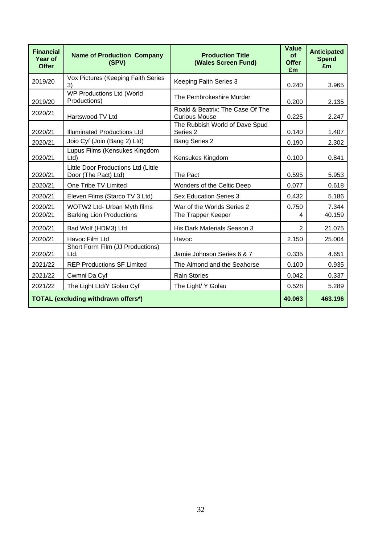| <b>Financial</b><br>Year of<br><b>Offer</b> | <b>Name of Production Company</b><br>(SPV)                  | <b>Production Title</b><br>(Wales Screen Fund)           | <b>Value</b><br><b>of</b><br><b>Offer</b><br>£m | <b>Anticipated</b><br><b>Spend</b><br>Em |
|---------------------------------------------|-------------------------------------------------------------|----------------------------------------------------------|-------------------------------------------------|------------------------------------------|
| 2019/20                                     | Vox Pictures (Keeping Faith Series<br>3)                    | Keeping Faith Series 3                                   | 0.240                                           | 3.965                                    |
| 2019/20                                     | WP Productions Ltd (World<br>Productions)                   | The Pembrokeshire Murder                                 | 0.200                                           | 2.135                                    |
| 2020/21                                     | Hartswood TV Ltd                                            | Roald & Beatrix: The Case Of The<br><b>Curious Mouse</b> | 0.225                                           | 2.247                                    |
| 2020/21                                     | <b>Illuminated Productions Ltd</b>                          | The Rubbish World of Dave Spud<br>Series <sub>2</sub>    | 0.140                                           | 1.407                                    |
| 2020/21                                     | Joio Cyf (Joio (Bang 2) Ltd)                                | <b>Bang Series 2</b>                                     | 0.190                                           | 2.302                                    |
| 2020/21                                     | Lupus Films (Kensukes Kingdom<br>Ltd                        | Kensukes Kingdom                                         | 0.100                                           | 0.841                                    |
| 2020/21                                     | Little Door Productions Ltd (Little<br>Door (The Pact) Ltd) | The Pact                                                 | 0.595                                           | 5.953                                    |
| 2020/21                                     | One Tribe TV Limited                                        | Wonders of the Celtic Deep                               | 0.077                                           | 0.618                                    |
| 2020/21                                     | Eleven Films (Starco TV 3 Ltd)                              | <b>Sex Education Series 3</b>                            | 0.432                                           | 5.186                                    |
| 2020/21                                     | WOTW2 Ltd- Urban Myth films                                 | War of the Worlds Series 2                               | 0.750                                           | 7.344                                    |
| 2020/21                                     | <b>Barking Lion Productions</b>                             | The Trapper Keeper                                       | 4                                               | 40.159                                   |
| 2020/21                                     | Bad Wolf (HDM3) Ltd                                         | His Dark Materials Season 3                              | $\overline{2}$                                  | 21.075                                   |
| 2020/21                                     | Havoc Film Ltd                                              | Havoc                                                    | 2.150                                           | 25.004                                   |
| 2020/21                                     | Short Form Film (JJ Productions)<br>Ltd.                    | Jamie Johnson Series 6 & 7                               | 0.335                                           | 4.651                                    |
| 2021/22                                     | <b>REP Productions SF Limited</b>                           | The Almond and the Seahorse                              | 0.100                                           | 0.935                                    |
| 2021/22                                     | Cwmni Da Cyf                                                | <b>Rain Stories</b>                                      | 0.042                                           | 0.337                                    |
| 2021/22                                     | The Light Ltd/Y Golau Cyf                                   | The Light/ Y Golau                                       | 0.528                                           | 5.289                                    |
|                                             | <b>TOTAL (excluding withdrawn offers*)</b>                  |                                                          | 40.063                                          | 463.196                                  |